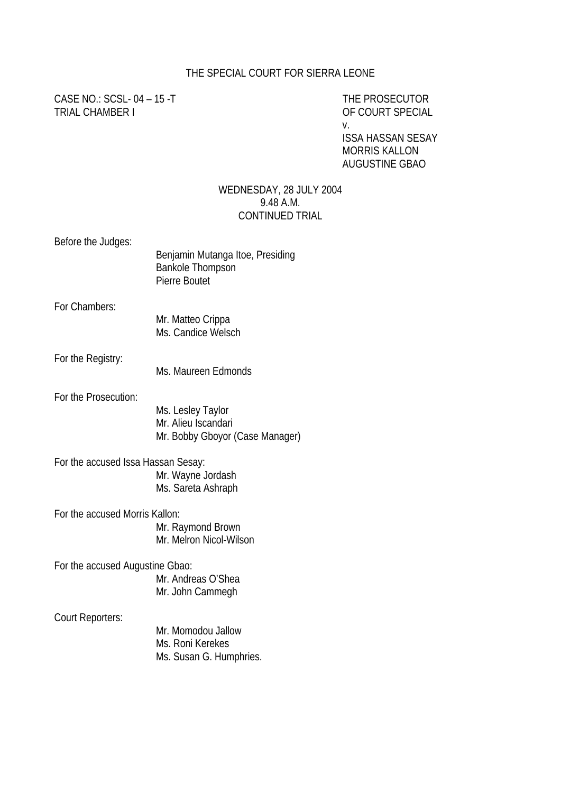#### THE SPECIAL COURT FOR SIERRA LEONE

CASE NO.: SCSL- 04 – 15 -T THE PROSECUTOR TRIAL CHAMBER I OF COURT SPECIAL

v.

ISSA HASSAN SESAY MORRIS KALLON AUGUSTINE GBAO

#### WEDNESDAY, 28 JULY 2004 9.48 A.M. CONTINUED TRIAL

Before the Judges:

|                                    | Benjamin Mutanga Itoe, Presiding<br><b>Bankole Thompson</b><br>Pierre Boutet |
|------------------------------------|------------------------------------------------------------------------------|
| For Chambers:                      | Mr. Matteo Crippa<br>Ms. Candice Welsch                                      |
| For the Registry:                  | Ms. Maureen Edmonds                                                          |
| For the Prosecution:               | Ms. Lesley Taylor<br>Mr. Alieu Iscandari<br>Mr. Bobby Gboyor (Case Manager)  |
| For the accused Issa Hassan Sesay: | Mr. Wayne Jordash<br>Ms. Sareta Ashraph                                      |
| For the accused Morris Kallon:     | Mr. Raymond Brown<br>Mr. Melron Nicol-Wilson                                 |
| For the accused Augustine Gbao:    | Mr. Andreas O'Shea<br>Mr. John Cammegh                                       |
| Court Reporters:                   | Mr. Momodou Jallow<br>Ms. Roni Kerekes<br>Ms. Susan G. Humphries.            |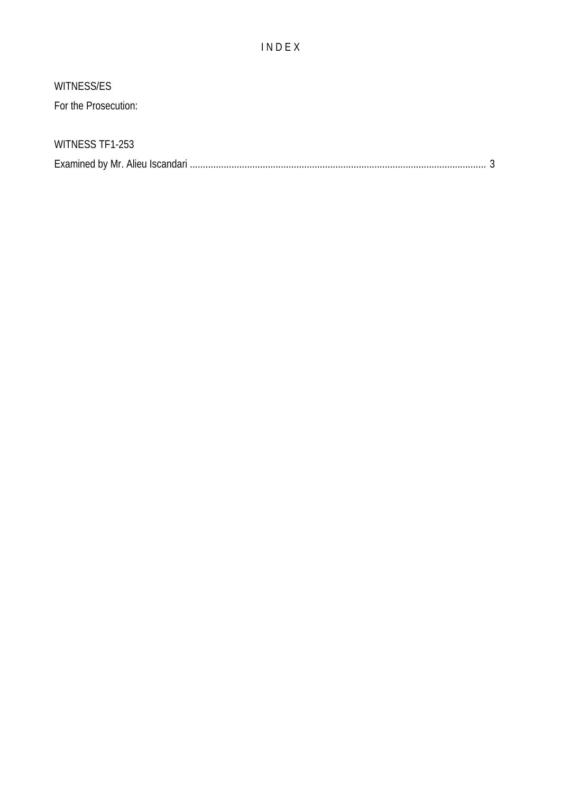## I N D E X

# WITNESS/ES

For the Prosecution:

## WITNESS TF1-253

|--|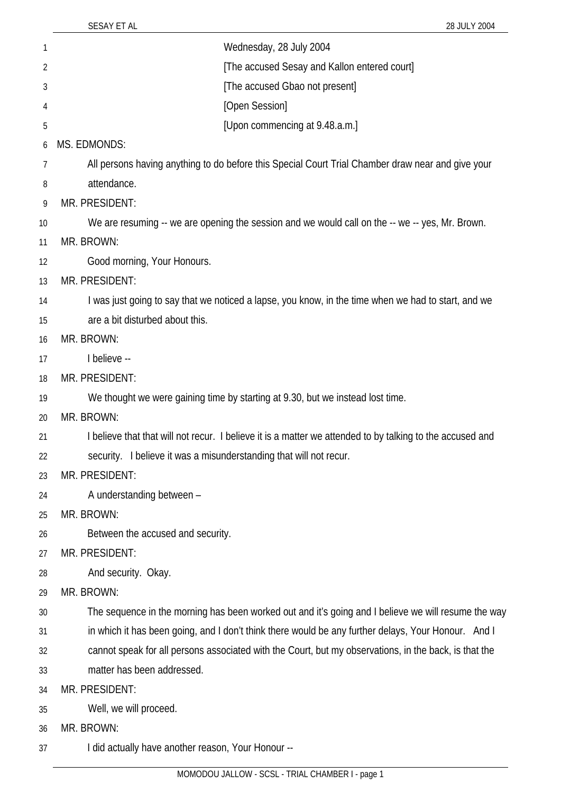| 1              | Wednesday, 28 July 2004                                                                                   |
|----------------|-----------------------------------------------------------------------------------------------------------|
| $\overline{2}$ | [The accused Sesay and Kallon entered court]                                                              |
| 3              | [The accused Gbao not present]                                                                            |
| 4              | [Open Session]                                                                                            |
| 5              | [Upon commencing at 9.48.a.m.]                                                                            |
| 6              | <b>MS. EDMONDS:</b>                                                                                       |
| 7              | All persons having anything to do before this Special Court Trial Chamber draw near and give your         |
| 8              | attendance.                                                                                               |
| 9              | MR. PRESIDENT:                                                                                            |
| 10             | We are resuming -- we are opening the session and we would call on the -- we -- yes, Mr. Brown.           |
| 11             | MR. BROWN:                                                                                                |
| 12             | Good morning, Your Honours.                                                                               |
| 13             | MR. PRESIDENT:                                                                                            |
| 14             | I was just going to say that we noticed a lapse, you know, in the time when we had to start, and we       |
| 15             | are a bit disturbed about this.                                                                           |
| 16             | MR. BROWN:                                                                                                |
| 17             | I believe --                                                                                              |
| 18             | MR. PRESIDENT:                                                                                            |
| 19             | We thought we were gaining time by starting at 9.30, but we instead lost time.                            |
| 20             | MR. BROWN:                                                                                                |
| 21             | I believe that that will not recur. I believe it is a matter we attended to by talking to the accused and |
| 22             | security. I believe it was a misunderstanding that will not recur.                                        |
| 23             | MR. PRESIDENT:                                                                                            |
| 24             | A understanding between -                                                                                 |
| 25             | MR. BROWN:                                                                                                |
| 26             | Between the accused and security.                                                                         |
| 27             | MR. PRESIDENT:                                                                                            |
| 28             | And security. Okay.                                                                                       |
| 29             | MR. BROWN:                                                                                                |
| 30             | The sequence in the morning has been worked out and it's going and I believe we will resume the way       |
| 31             | in which it has been going, and I don't think there would be any further delays, Your Honour. And I       |
| 32             | cannot speak for all persons associated with the Court, but my observations, in the back, is that the     |
| 33             | matter has been addressed.                                                                                |
| 34             | MR. PRESIDENT:                                                                                            |
| 35             | Well, we will proceed.                                                                                    |
| 36             | MR. BROWN:                                                                                                |
| 37             | I did actually have another reason, Your Honour --                                                        |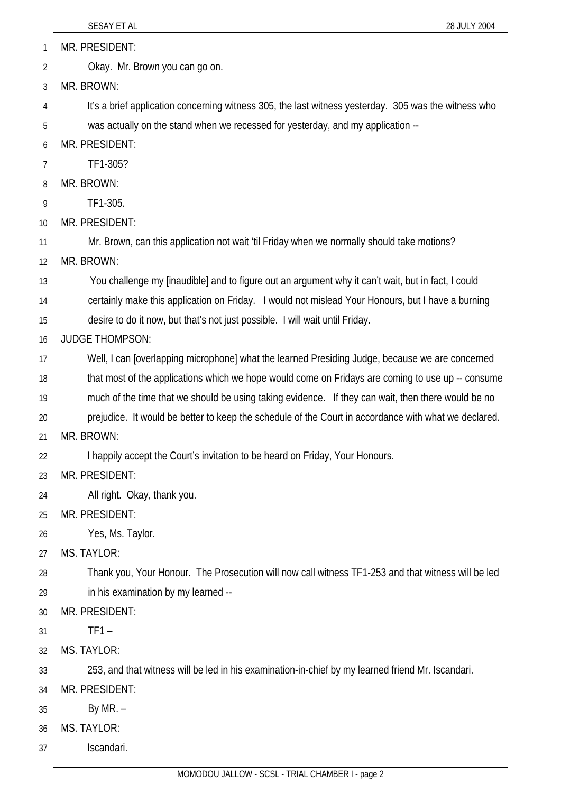MR. PRESIDENT: 1

Okay. Mr. Brown you can go on. 2

3 MR. BROWN:

4 5 It's a brief application concerning witness 305, the last witness yesterday. 305 was the witness who was actually on the stand when we recessed for yesterday, and my application --

6 MR. PRESIDENT:

- 7 TF1-305?
- 8 MR. BROWN:
- 9 TF1-305.
- 10 MR. PRESIDENT:

11 Mr. Brown, can this application not wait 'til Friday when we normally should take motions?

12 MR. BROWN:

13 You challenge my [inaudible] and to figure out an argument why it can't wait, but in fact, I could

14 certainly make this application on Friday. I would not mislead Your Honours, but I have a burning

15 desire to do it now, but that's not just possible. I will wait until Friday.

16 JUDGE THOMPSON:

17 Well, I can [overlapping microphone] what the learned Presiding Judge, because we are concerned

18 that most of the applications which we hope would come on Fridays are coming to use up -- consume

19 much of the time that we should be using taking evidence. If they can wait, then there would be no

20 prejudice. It would be better to keep the schedule of the Court in accordance with what we declared.

21 MR. BROWN:

22 I happily accept the Court's invitation to be heard on Friday, Your Honours.

- 23 MR. PRESIDENT:
- 24 All right. Okay, thank you.
- 25 MR. PRESIDENT:

26 Yes, Ms. Taylor.

27 MS. TAYLOR:

28 29 Thank you, Your Honour. The Prosecution will now call witness TF1-253 and that witness will be led in his examination by my learned --

30 MR. PRESIDENT:

31  $TF1 -$ 

32 MS. TAYLOR:

33 253, and that witness will be led in his examination-in-chief by my learned friend Mr. Iscandari.

- 34 MR. PRESIDENT:
- 35 By MR. –
- 36 MS. TAYLOR:
- 37 Iscandari.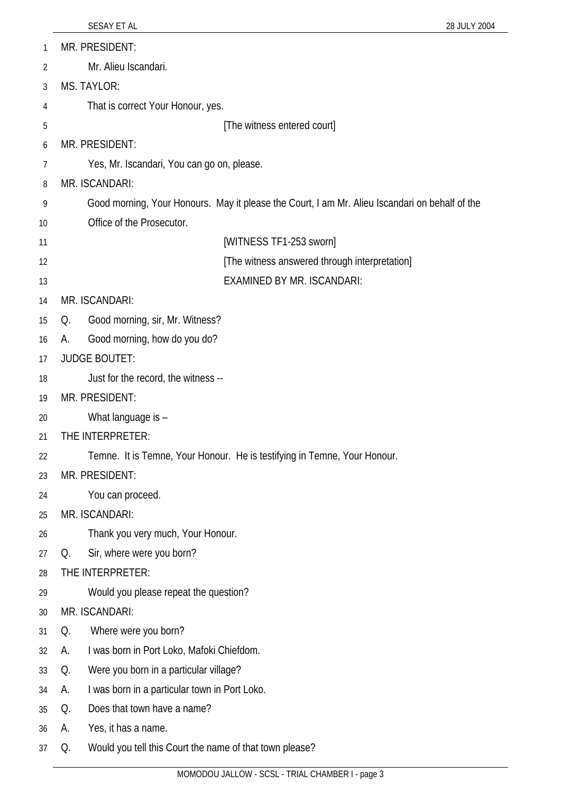| 1  | MR. PRESIDENT:                                                                                 |  |
|----|------------------------------------------------------------------------------------------------|--|
| 2  | Mr. Alieu Iscandari.                                                                           |  |
| 3  | <b>MS. TAYLOR:</b>                                                                             |  |
| 4  | That is correct Your Honour, yes.                                                              |  |
| 5  | [The witness entered court]                                                                    |  |
| 6  | MR. PRESIDENT:                                                                                 |  |
| 7  | Yes, Mr. Iscandari, You can go on, please.                                                     |  |
| 8  | MR. ISCANDARI:                                                                                 |  |
| 9  | Good morning, Your Honours. May it please the Court, I am Mr. Alieu Iscandari on behalf of the |  |
| 10 | Office of the Prosecutor.                                                                      |  |
| 11 | [WITNESS TF1-253 sworn]                                                                        |  |
| 12 | [The witness answered through interpretation]                                                  |  |
| 13 | EXAMINED BY MR. ISCANDARI:                                                                     |  |
| 14 | MR. ISCANDARI:                                                                                 |  |
| 15 | Good morning, sir, Mr. Witness?<br>Q.                                                          |  |
| 16 | Good morning, how do you do?<br>А.                                                             |  |
| 17 | <b>JUDGE BOUTET:</b>                                                                           |  |
| 18 | Just for the record, the witness --                                                            |  |
| 19 | MR. PRESIDENT:                                                                                 |  |
| 20 | What language is -                                                                             |  |
| 21 | THE INTERPRETER:                                                                               |  |
| 22 | Temne. It is Temne, Your Honour. He is testifying in Temne, Your Honour.                       |  |
| 23 | MR. PRESIDENT:                                                                                 |  |
| 24 | You can proceed.                                                                               |  |
| 25 | MR. ISCANDARI:                                                                                 |  |
| 26 | Thank you very much, Your Honour.                                                              |  |
| 27 | Sir, where were you born?<br>Q.                                                                |  |
| 28 | THE INTERPRETER:                                                                               |  |
| 29 | Would you please repeat the question?                                                          |  |
| 30 | MR. ISCANDARI:                                                                                 |  |
| 31 | Where were you born?<br>Q.                                                                     |  |
| 32 | I was born in Port Loko, Mafoki Chiefdom.<br>А.                                                |  |
| 33 | Were you born in a particular village?<br>Q.                                                   |  |
| 34 | I was born in a particular town in Port Loko.<br>А.                                            |  |
| 35 | Does that town have a name?<br>Q.                                                              |  |
| 36 | Yes, it has a name.<br>А.                                                                      |  |
| 37 | Would you tell this Court the name of that town please?<br>Q.                                  |  |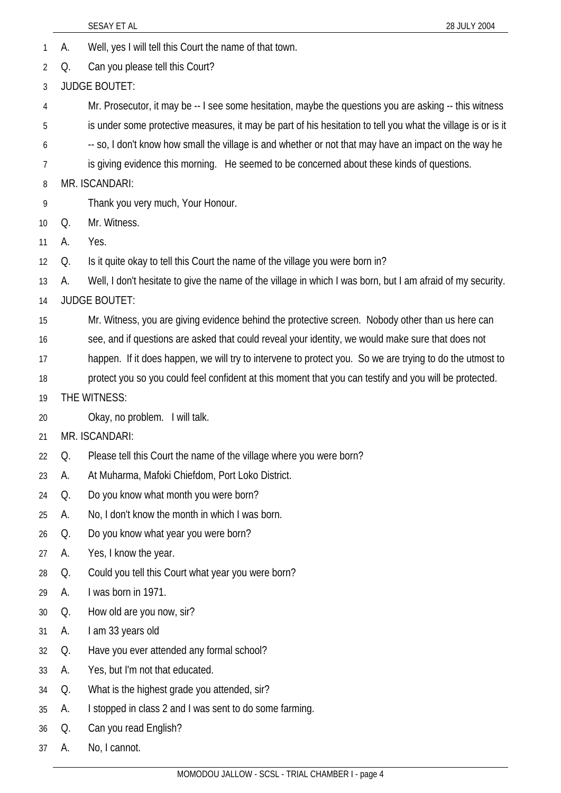|    |    | SESAY ET AL<br>28 JULY 2004                                                                                  |
|----|----|--------------------------------------------------------------------------------------------------------------|
| 1  | А. | Well, yes I will tell this Court the name of that town.                                                      |
| 2  | Q. | Can you please tell this Court?                                                                              |
| 3  |    | <b>JUDGE BOUTET:</b>                                                                                         |
| 4  |    | Mr. Prosecutor, it may be -- I see some hesitation, maybe the questions you are asking -- this witness       |
| 5  |    | is under some protective measures, it may be part of his hesitation to tell you what the village is or is it |
| 6  |    | -- so, I don't know how small the village is and whether or not that may have an impact on the way he        |
| 7  |    | is giving evidence this morning. He seemed to be concerned about these kinds of questions.                   |
| 8  |    | MR. ISCANDARI:                                                                                               |
| 9  |    | Thank you very much, Your Honour.                                                                            |
| 10 | Q. | Mr. Witness.                                                                                                 |
| 11 | А. | Yes.                                                                                                         |
| 12 | Q. | Is it quite okay to tell this Court the name of the village you were born in?                                |
| 13 | А. | Well, I don't hesitate to give the name of the village in which I was born, but I am afraid of my security.  |
| 14 |    | <b>JUDGE BOUTET:</b>                                                                                         |
| 15 |    | Mr. Witness, you are giving evidence behind the protective screen. Nobody other than us here can             |
| 16 |    | see, and if questions are asked that could reveal your identity, we would make sure that does not            |
| 17 |    | happen. If it does happen, we will try to intervene to protect you. So we are trying to do the utmost to     |
| 18 |    | protect you so you could feel confident at this moment that you can testify and you will be protected.       |
| 19 |    | THE WITNESS:                                                                                                 |
| 20 |    | Okay, no problem. I will talk.                                                                               |
| 21 |    | MR. ISCANDARI:                                                                                               |
| 22 | Q. | Please tell this Court the name of the village where you were born?                                          |
| 23 | А. | At Muharma, Mafoki Chiefdom, Port Loko District.                                                             |
| 24 | Q. | Do you know what month you were born?                                                                        |
| 25 | А. | No, I don't know the month in which I was born.                                                              |
| 26 | Q. | Do you know what year you were born?                                                                         |
| 27 | А. | Yes, I know the year.                                                                                        |
| 28 | Q. | Could you tell this Court what year you were born?                                                           |
| 29 | А. | I was born in 1971.                                                                                          |
| 30 | Q. | How old are you now, sir?                                                                                    |
| 31 | А. | I am 33 years old                                                                                            |
| 32 | Q. | Have you ever attended any formal school?                                                                    |
| 33 | А. | Yes, but I'm not that educated.                                                                              |
| 34 | Q. | What is the highest grade you attended, sir?                                                                 |
| 35 | А. | I stopped in class 2 and I was sent to do some farming.                                                      |
| 36 | Q. | Can you read English?                                                                                        |
| 37 | А. | No, I cannot.                                                                                                |
|    |    |                                                                                                              |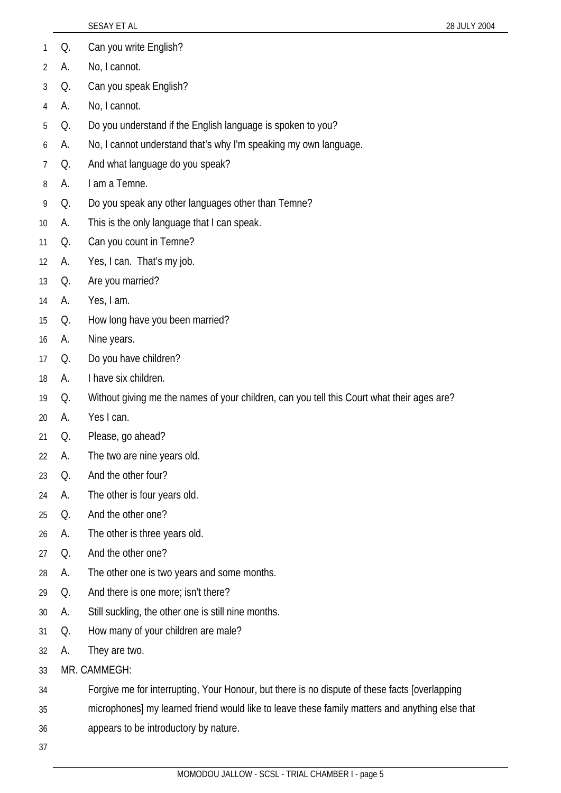|                |    | SESAY ET AL<br>28 JULY 2004                                                                    |
|----------------|----|------------------------------------------------------------------------------------------------|
| 1              | Q. | Can you write English?                                                                         |
| 2              | А. | No, I cannot.                                                                                  |
| 3              | Q. | Can you speak English?                                                                         |
| $\overline{4}$ | А. | No, I cannot.                                                                                  |
| 5              | Q. | Do you understand if the English language is spoken to you?                                    |
| 6              | А. | No, I cannot understand that's why I'm speaking my own language.                               |
| 7              | Q. | And what language do you speak?                                                                |
| 8              | А. | I am a Temne.                                                                                  |
| 9              | Q. | Do you speak any other languages other than Temne?                                             |
| 10             | А. | This is the only language that I can speak.                                                    |
| 11             | Q. | Can you count in Temne?                                                                        |
| 12             | А. | Yes, I can. That's my job.                                                                     |
| 13             | Q. | Are you married?                                                                               |
| 14             | А. | Yes, I am.                                                                                     |
| 15             | Q. | How long have you been married?                                                                |
| 16             | А. | Nine years.                                                                                    |
| 17             | Q. | Do you have children?                                                                          |
| 18             | А. | I have six children.                                                                           |
| 19             | Q. | Without giving me the names of your children, can you tell this Court what their ages are?     |
| 20             | А. | Yes I can.                                                                                     |
| 21             | Q. | Please, go ahead?                                                                              |
| 22             | А. | The two are nine years old.                                                                    |
| 23             | Q. | And the other four?                                                                            |
| 24             | А. | The other is four years old.                                                                   |
| 25             | Q. | And the other one?                                                                             |
| 26             | А. | The other is three years old.                                                                  |
| 27             | Q. | And the other one?                                                                             |
| 28             | А. | The other one is two years and some months.                                                    |
| 29             | Q. | And there is one more; isn't there?                                                            |
| 30             | А. | Still suckling, the other one is still nine months.                                            |
| 31             | Q. | How many of your children are male?                                                            |
| 32             | А. | They are two.                                                                                  |
| 33             |    | MR. CAMMEGH:                                                                                   |
| 34             |    | Forgive me for interrupting, Your Honour, but there is no dispute of these facts [overlapping  |
| 35             |    | microphones] my learned friend would like to leave these family matters and anything else that |
| 36             |    | appears to be introductory by nature.                                                          |
| 37             |    |                                                                                                |
|                |    |                                                                                                |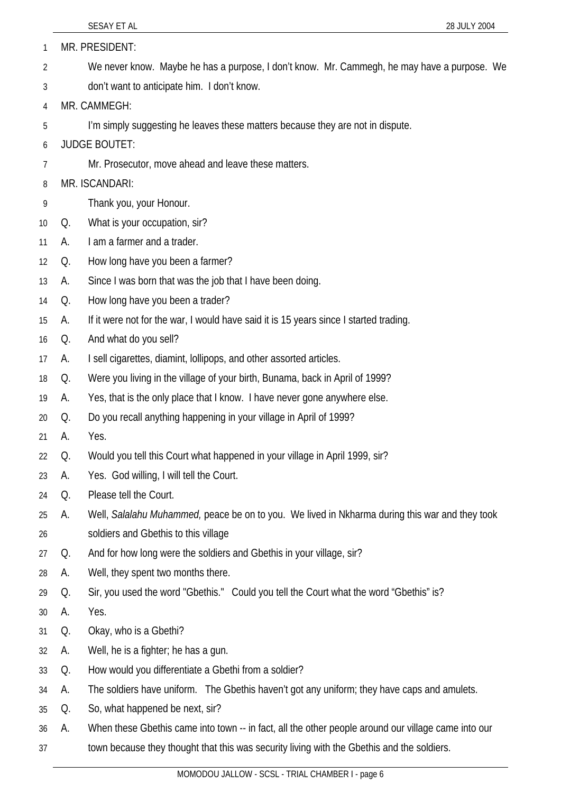|    |    | 28 JULY 2004<br>SESAY ET AL                                                                         |
|----|----|-----------------------------------------------------------------------------------------------------|
| 1  |    | MR. PRESIDENT:                                                                                      |
| 2  |    | We never know. Maybe he has a purpose, I don't know. Mr. Cammegh, he may have a purpose. We         |
| 3  |    | don't want to anticipate him. I don't know.                                                         |
| 4  |    | MR. CAMMEGH:                                                                                        |
| 5  |    | I'm simply suggesting he leaves these matters because they are not in dispute.                      |
| 6  |    | <b>JUDGE BOUTET:</b>                                                                                |
| 7  |    | Mr. Prosecutor, move ahead and leave these matters.                                                 |
| 8  |    | MR. ISCANDARI:                                                                                      |
| 9  |    | Thank you, your Honour.                                                                             |
| 10 | Q. | What is your occupation, sir?                                                                       |
| 11 | А. | I am a farmer and a trader.                                                                         |
| 12 | Q. | How long have you been a farmer?                                                                    |
| 13 | А. | Since I was born that was the job that I have been doing.                                           |
| 14 | Q. | How long have you been a trader?                                                                    |
| 15 | А. | If it were not for the war, I would have said it is 15 years since I started trading.               |
| 16 | Q. | And what do you sell?                                                                               |
| 17 | А. | I sell cigarettes, diamint, lollipops, and other assorted articles.                                 |
| 18 | Q. | Were you living in the village of your birth, Bunama, back in April of 1999?                        |
| 19 | А. | Yes, that is the only place that I know. I have never gone anywhere else.                           |
| 20 | Q. | Do you recall anything happening in your village in April of 1999?                                  |
| 21 | A. | Yes.                                                                                                |
| 22 | Q. | Would you tell this Court what happened in your village in April 1999, sir?                         |
| 23 | А. | Yes. God willing, I will tell the Court.                                                            |
| 24 | Q. | Please tell the Court.                                                                              |
| 25 | А. | Well, Salalahu Muhammed, peace be on to you. We lived in Nkharma during this war and they took      |
| 26 |    | soldiers and Gbethis to this village                                                                |
| 27 | Q. | And for how long were the soldiers and Gbethis in your village, sir?                                |
| 28 | А. | Well, they spent two months there.                                                                  |
| 29 | Q. | Sir, you used the word "Gbethis." Could you tell the Court what the word "Gbethis" is?              |
| 30 | А. | Yes.                                                                                                |
| 31 | Q. | Okay, who is a Gbethi?                                                                              |
| 32 | А. | Well, he is a fighter; he has a gun.                                                                |
| 33 | Q. | How would you differentiate a Gbethi from a soldier?                                                |
| 34 | А. | The soldiers have uniform. The Gbethis haven't got any uniform; they have caps and amulets.         |
| 35 | Q. | So, what happened be next, sir?                                                                     |
| 36 | А. | When these Gbethis came into town -- in fact, all the other people around our village came into our |
| 37 |    | town because they thought that this was security living with the Gbethis and the soldiers.          |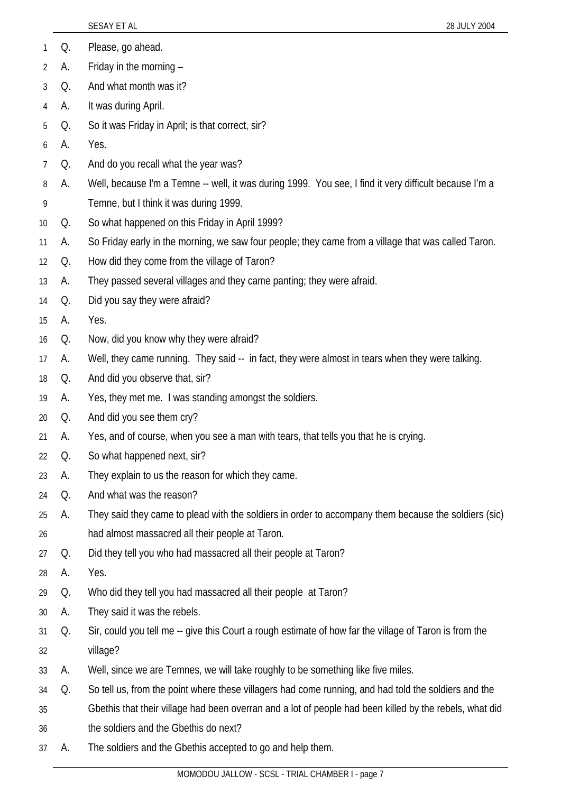|    |    | SESAY ET AL<br>28 JULY 2004                                                                             |  |
|----|----|---------------------------------------------------------------------------------------------------------|--|
| 1  | Q. | Please, go ahead.                                                                                       |  |
| 2  | А. | Friday in the morning -                                                                                 |  |
| 3  | Q. | And what month was it?                                                                                  |  |
| 4  | А. | It was during April.                                                                                    |  |
| 5  | Q. | So it was Friday in April; is that correct, sir?                                                        |  |
| 6  | А. | Yes.                                                                                                    |  |
| 7  | Q. | And do you recall what the year was?                                                                    |  |
| 8  | A. | Well, because I'm a Temne -- well, it was during 1999. You see, I find it very difficult because I'm a  |  |
| 9  |    | Temne, but I think it was during 1999.                                                                  |  |
| 10 | Q. | So what happened on this Friday in April 1999?                                                          |  |
| 11 | А. | So Friday early in the morning, we saw four people; they came from a village that was called Taron.     |  |
| 12 | Q. | How did they come from the village of Taron?                                                            |  |
| 13 | А. | They passed several villages and they came panting; they were afraid.                                   |  |
| 14 | Q. | Did you say they were afraid?                                                                           |  |
| 15 | А. | Yes.                                                                                                    |  |
| 16 | Q. | Now, did you know why they were afraid?                                                                 |  |
| 17 | А. | Well, they came running. They said -- in fact, they were almost in tears when they were talking.        |  |
| 18 | Q. | And did you observe that, sir?                                                                          |  |
| 19 | А. | Yes, they met me. I was standing amongst the soldiers.                                                  |  |
| 20 | Q. | And did you see them cry?                                                                               |  |
| 21 | А. | Yes, and of course, when you see a man with tears, that tells you that he is crying.                    |  |
| 22 | Q. | So what happened next, sir?                                                                             |  |
| 23 | А. | They explain to us the reason for which they came.                                                      |  |
| 24 | Q. | And what was the reason?                                                                                |  |
| 25 | А. | They said they came to plead with the soldiers in order to accompany them because the soldiers (sic)    |  |
| 26 |    | had almost massacred all their people at Taron.                                                         |  |
| 27 | Q. | Did they tell you who had massacred all their people at Taron?                                          |  |
| 28 | А. | Yes.                                                                                                    |  |
| 29 | Q. | Who did they tell you had massacred all their people at Taron?                                          |  |
| 30 | А. | They said it was the rebels.                                                                            |  |
| 31 | Q. | Sir, could you tell me -- give this Court a rough estimate of how far the village of Taron is from the  |  |
| 32 |    | village?                                                                                                |  |
| 33 | А. | Well, since we are Temnes, we will take roughly to be something like five miles.                        |  |
| 34 | Q. | So tell us, from the point where these villagers had come running, and had told the soldiers and the    |  |
| 35 |    | Gbethis that their village had been overran and a lot of people had been killed by the rebels, what did |  |
| 36 |    | the soldiers and the Gbethis do next?                                                                   |  |
| 37 | А. | The soldiers and the Gbethis accepted to go and help them.                                              |  |
|    |    | 00001111110111110001<br>TOULOULLINTO                                                                    |  |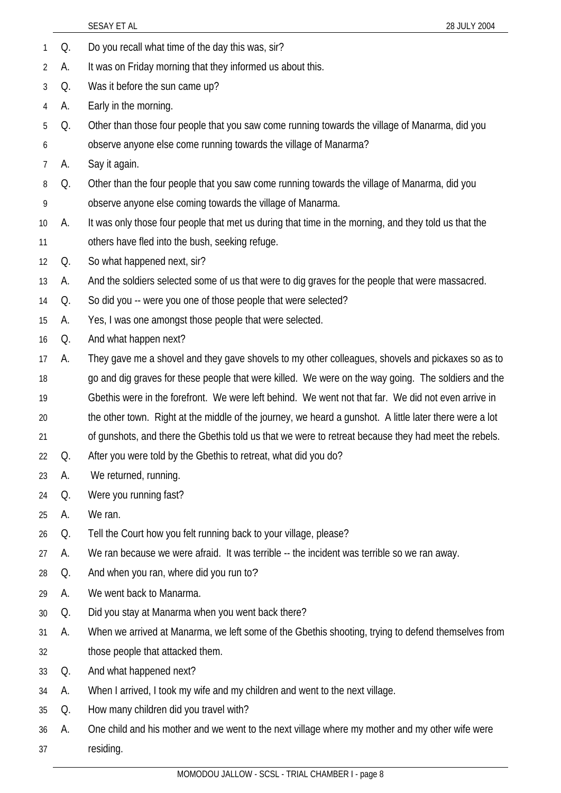|    |    | SESAY ET AL<br>28 JULY 2004                                                                             |
|----|----|---------------------------------------------------------------------------------------------------------|
| 1  | Q. | Do you recall what time of the day this was, sir?                                                       |
| 2  | А. | It was on Friday morning that they informed us about this.                                              |
| 3  | Q. | Was it before the sun came up?                                                                          |
| 4  | А. | Early in the morning.                                                                                   |
| 5  | Q. | Other than those four people that you saw come running towards the village of Manarma, did you          |
| 6  |    | observe anyone else come running towards the village of Manarma?                                        |
| 7  | А. | Say it again.                                                                                           |
| 8  | Q. | Other than the four people that you saw come running towards the village of Manarma, did you            |
| 9  |    | observe anyone else coming towards the village of Manarma.                                              |
| 10 | А. | It was only those four people that met us during that time in the morning, and they told us that the    |
| 11 |    | others have fled into the bush, seeking refuge.                                                         |
| 12 | Q. | So what happened next, sir?                                                                             |
| 13 | А. | And the soldiers selected some of us that were to dig graves for the people that were massacred.        |
| 14 | Q. | So did you -- were you one of those people that were selected?                                          |
| 15 | А. | Yes, I was one amongst those people that were selected.                                                 |
| 16 | Q. | And what happen next?                                                                                   |
| 17 | А. | They gave me a shovel and they gave shovels to my other colleagues, shovels and pickaxes so as to       |
| 18 |    | go and dig graves for these people that were killed. We were on the way going. The soldiers and the     |
| 19 |    | Gbethis were in the forefront. We were left behind. We went not that far. We did not even arrive in     |
| 20 |    | the other town. Right at the middle of the journey, we heard a gunshot. A little later there were a lot |
| 21 |    | of gunshots, and there the Gbethis told us that we were to retreat because they had meet the rebels.    |
| 22 | Q. | After you were told by the Gbethis to retreat, what did you do?                                         |
| 23 | А. | We returned, running.                                                                                   |
| 24 | Q. | Were you running fast?                                                                                  |
| 25 | А. | We ran.                                                                                                 |
| 26 | Q. | Tell the Court how you felt running back to your village, please?                                       |
| 27 | А. | We ran because we were afraid. It was terrible -- the incident was terrible so we ran away.             |
| 28 | Q. | And when you ran, where did you run to?                                                                 |
| 29 | А. | We went back to Manarma.                                                                                |
| 30 | Q. | Did you stay at Manarma when you went back there?                                                       |
| 31 | А. | When we arrived at Manarma, we left some of the Gbethis shooting, trying to defend themselves from      |
| 32 |    | those people that attacked them.                                                                        |
| 33 | Q. | And what happened next?                                                                                 |
| 34 | А. | When I arrived, I took my wife and my children and went to the next village.                            |
| 35 | Q. | How many children did you travel with?                                                                  |
| 36 | А. | One child and his mother and we went to the next village where my mother and my other wife were         |
| 37 |    | residing.                                                                                               |
|    |    |                                                                                                         |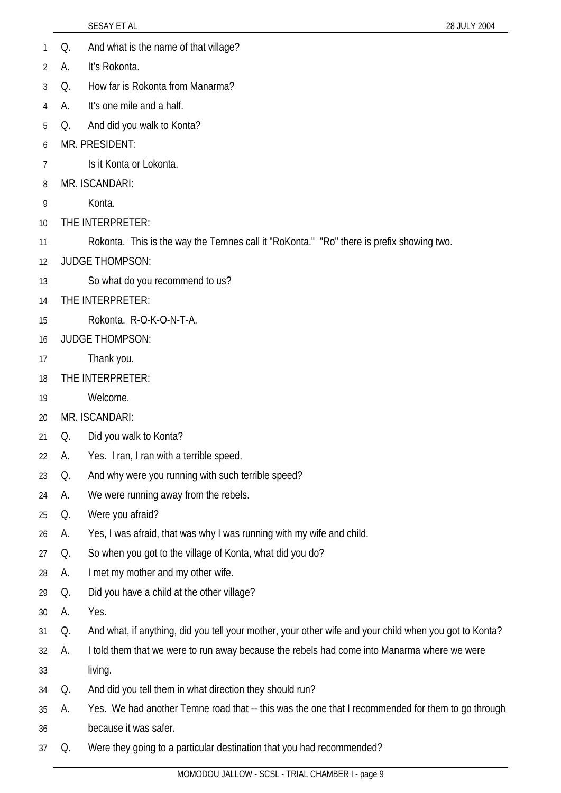|    |    | <b>SESAY ET AL</b><br>28 JULY 2004                                                                     |
|----|----|--------------------------------------------------------------------------------------------------------|
| 1  | Q. | And what is the name of that village?                                                                  |
| 2  | А. | It's Rokonta.                                                                                          |
| 3  | Q. | How far is Rokonta from Manarma?                                                                       |
| 4  | А. | It's one mile and a half.                                                                              |
| 5  | Q. | And did you walk to Konta?                                                                             |
| 6  |    | MR. PRESIDENT:                                                                                         |
| 7  |    | Is it Konta or Lokonta.                                                                                |
| 8  |    | MR. ISCANDARI:                                                                                         |
| 9  |    | Konta.                                                                                                 |
| 10 |    | THE INTERPRETER:                                                                                       |
| 11 |    | Rokonta. This is the way the Temnes call it "RoKonta." "Ro" there is prefix showing two.               |
| 12 |    | <b>JUDGE THOMPSON:</b>                                                                                 |
| 13 |    | So what do you recommend to us?                                                                        |
| 14 |    | THE INTERPRETER:                                                                                       |
| 15 |    | Rokonta. R-O-K-O-N-T-A.                                                                                |
| 16 |    | <b>JUDGE THOMPSON:</b>                                                                                 |
| 17 |    | Thank you.                                                                                             |
| 18 |    | THE INTERPRETER:                                                                                       |
| 19 |    | Welcome.                                                                                               |
| 20 |    | MR. ISCANDARI:                                                                                         |
| 21 | Q. | Did you walk to Konta?                                                                                 |
| 22 | А. | Yes. I ran, I ran with a terrible speed.                                                               |
| 23 | Q. | And why were you running with such terrible speed?                                                     |
| 24 | А. | We were running away from the rebels.                                                                  |
| 25 | Q. | Were you afraid?                                                                                       |
| 26 | А. | Yes, I was afraid, that was why I was running with my wife and child.                                  |
| 27 | Q. | So when you got to the village of Konta, what did you do?                                              |
| 28 | А. | I met my mother and my other wife.                                                                     |
| 29 | Q. | Did you have a child at the other village?                                                             |
| 30 | А. | Yes.                                                                                                   |
| 31 | Q. | And what, if anything, did you tell your mother, your other wife and your child when you got to Konta? |
| 32 | А. | I told them that we were to run away because the rebels had come into Manarma where we were            |
| 33 |    | living.                                                                                                |
| 34 | Q. | And did you tell them in what direction they should run?                                               |
| 35 | А. | Yes. We had another Temne road that -- this was the one that I recommended for them to go through      |
| 36 |    | because it was safer.                                                                                  |
| 37 | Q. | Were they going to a particular destination that you had recommended?                                  |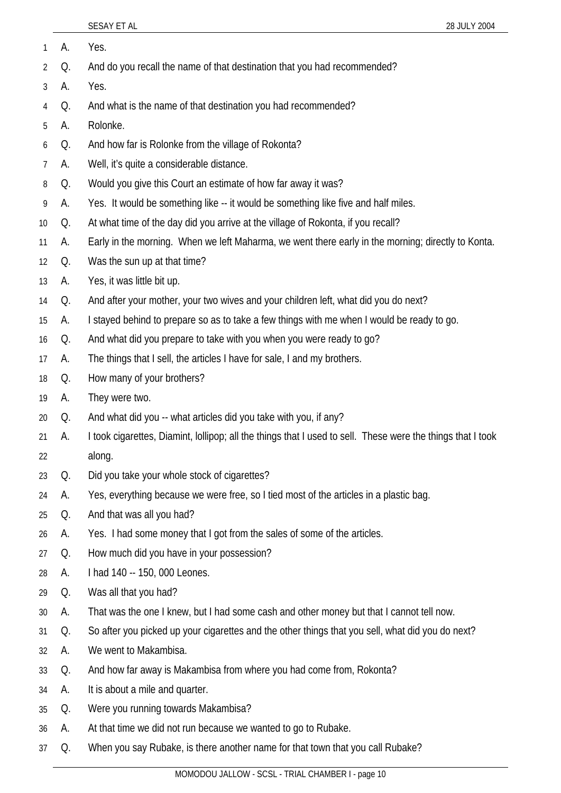| 1              | А. | Yes.                                                                                                        |
|----------------|----|-------------------------------------------------------------------------------------------------------------|
| 2              | Q. | And do you recall the name of that destination that you had recommended?                                    |
| $\mathfrak{Z}$ | А. | Yes.                                                                                                        |
| 4              | Q. | And what is the name of that destination you had recommended?                                               |
| 5              | А. | Rolonke.                                                                                                    |
| 6              | Q. | And how far is Rolonke from the village of Rokonta?                                                         |
| 7              | А. | Well, it's quite a considerable distance.                                                                   |
| 8              | Q. | Would you give this Court an estimate of how far away it was?                                               |
| 9              | А. | Yes. It would be something like -- it would be something like five and half miles.                          |
| 10             | Q. | At what time of the day did you arrive at the village of Rokonta, if you recall?                            |
| 11             | А. | Early in the morning. When we left Maharma, we went there early in the morning; directly to Konta.          |
| 12             | Q. | Was the sun up at that time?                                                                                |
| 13             | А. | Yes, it was little bit up.                                                                                  |
| 14             | Q. | And after your mother, your two wives and your children left, what did you do next?                         |
| 15             | А. | I stayed behind to prepare so as to take a few things with me when I would be ready to go.                  |
| 16             | Q. | And what did you prepare to take with you when you were ready to go?                                        |
| 17             | А. | The things that I sell, the articles I have for sale, I and my brothers.                                    |
| 18             | Q. | How many of your brothers?                                                                                  |
| 19             | А. | They were two.                                                                                              |
| 20             | Q. | And what did you -- what articles did you take with you, if any?                                            |
| 21             | А. | I took cigarettes, Diamint, Iollipop; all the things that I used to sell. These were the things that I took |
| 22             |    | along.                                                                                                      |
| 23             | Q. | Did you take your whole stock of cigarettes?                                                                |
| 24             | А. | Yes, everything because we were free, so I tied most of the articles in a plastic bag.                      |
| 25             | Q. | And that was all you had?                                                                                   |
| 26             | А. | Yes. I had some money that I got from the sales of some of the articles.                                    |
| 27             | Q. | How much did you have in your possession?                                                                   |
| 28             | А. | I had 140 -- 150, 000 Leones.                                                                               |
| 29             | Q. | Was all that you had?                                                                                       |
| 30             | А. | That was the one I knew, but I had some cash and other money but that I cannot tell now.                    |
| 31             | Q. | So after you picked up your cigarettes and the other things that you sell, what did you do next?            |
| 32             | А. | We went to Makambisa.                                                                                       |
| 33             | Q. | And how far away is Makambisa from where you had come from, Rokonta?                                        |
| 34             | А. | It is about a mile and quarter.                                                                             |
| 35             | Q. | Were you running towards Makambisa?                                                                         |
| 36             | A. | At that time we did not run because we wanted to go to Rubake.                                              |

37 Q. When you say Rubake, is there another name for that town that you call Rubake?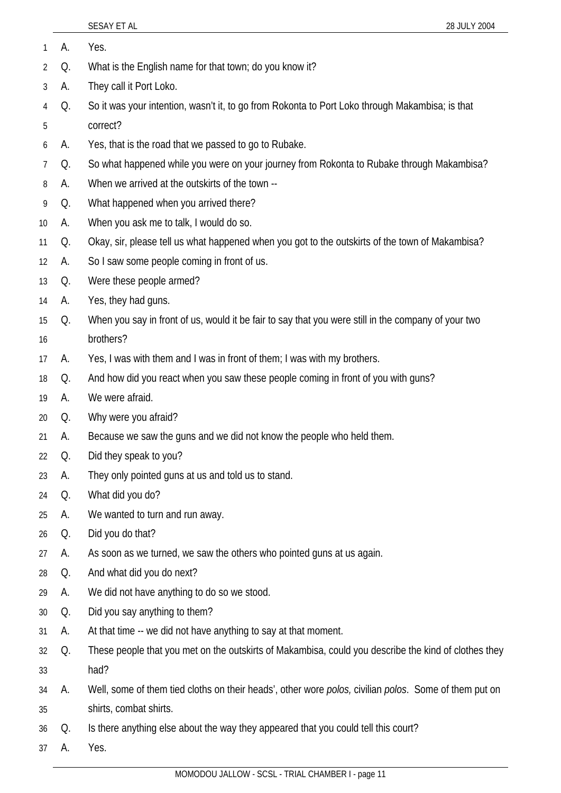- 1 A. Yes.
- 2 Q. What is the English name for that town; do you know it?
- 3 A. They call it Port Loko.
- 4 5 Q. So it was your intention, wasn't it, to go from Rokonta to Port Loko through Makambisa; is that correct?
- 6 A. Yes, that is the road that we passed to go to Rubake.
- 7 Q. So what happened while you were on your journey from Rokonta to Rubake through Makambisa?
- 8 A. When we arrived at the outskirts of the town --
- 9 Q. What happened when you arrived there?
- 10 A. When you ask me to talk, I would do so.
- 11 Q. Okay, sir, please tell us what happened when you got to the outskirts of the town of Makambisa?
- 12 A. So I saw some people coming in front of us.
- 13 Q. Were these people armed?
- 14 A. Yes, they had guns.
- 15 Q. When you say in front of us, would it be fair to say that you were still in the company of your two
- 16 brothers?
- 17 A. Yes, I was with them and I was in front of them; I was with my brothers.
- 18 Q. And how did you react when you saw these people coming in front of you with guns?
- 19 A. We were afraid.
- 20 Q. Why were you afraid?
- 21 A. Because we saw the guns and we did not know the people who held them.
- 22 Q. Did they speak to you?
- 23 A. They only pointed guns at us and told us to stand.
- 24 Q. What did you do?
- 25 A. We wanted to turn and run away.
- 26 Q. Did you do that?
- 27 A. As soon as we turned, we saw the others who pointed guns at us again.
- 28 Q. And what did you do next?
- 29 A. We did not have anything to do so we stood.
- 30 Q. Did you say anything to them?
- 31 A. At that time -- we did not have anything to say at that moment.
- 32 33 Q. These people that you met on the outskirts of Makambisa, could you describe the kind of clothes they had?
- 34 A. Well, some of them tied cloths on their heads', other wore *polos,* civilian *polos*. Some of them put on
- 35 shirts, combat shirts.
- 36 Q. Is there anything else about the way they appeared that you could tell this court?
- 37 A. Yes.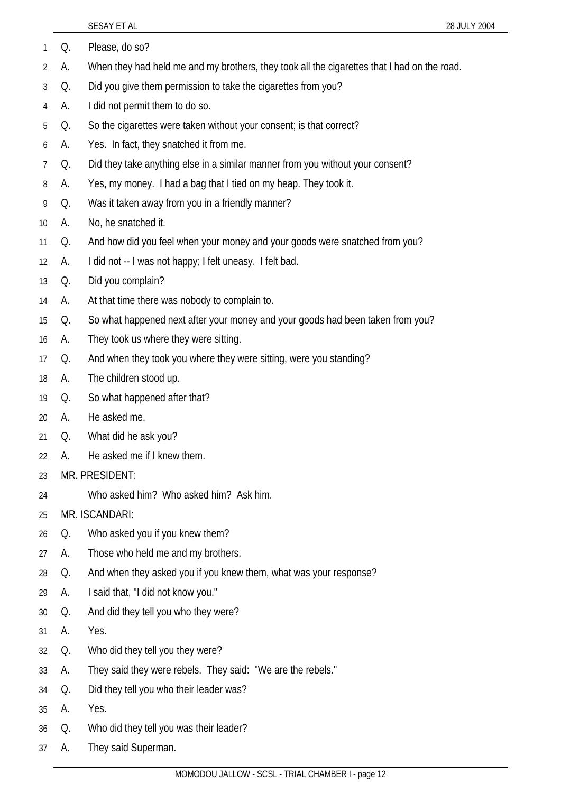| 1  | Q.           | Please, do so?                                                                              |
|----|--------------|---------------------------------------------------------------------------------------------|
| 2  | А.           | When they had held me and my brothers, they took all the cigarettes that I had on the road. |
| 3  | Q.           | Did you give them permission to take the cigarettes from you?                               |
| 4  | A.           | I did not permit them to do so.                                                             |
| 5  | Q.           | So the cigarettes were taken without your consent; is that correct?                         |
| 6  | А.           | Yes. In fact, they snatched it from me.                                                     |
| 7  | Q.           | Did they take anything else in a similar manner from you without your consent?              |
| 8  | А.           | Yes, my money. I had a bag that I tied on my heap. They took it.                            |
| 9  | Q.           | Was it taken away from you in a friendly manner?                                            |
| 10 | А.           | No, he snatched it.                                                                         |
| 11 | Q.           | And how did you feel when your money and your goods were snatched from you?                 |
| 12 | А.           | I did not -- I was not happy; I felt uneasy. I felt bad.                                    |
| 13 | Q.           | Did you complain?                                                                           |
| 14 | А.           | At that time there was nobody to complain to.                                               |
| 15 | Q.           | So what happened next after your money and your goods had been taken from you?              |
| 16 | А.           | They took us where they were sitting.                                                       |
| 17 | Q.           | And when they took you where they were sitting, were you standing?                          |
| 18 | А.           | The children stood up.                                                                      |
| 19 | Q.           | So what happened after that?                                                                |
| 20 | А.           | He asked me.                                                                                |
| 21 | Q.           | What did he ask you?                                                                        |
| 22 | $\mathsf{A}$ | He asked me if I knew them                                                                  |
| 23 |              | MR. PRESIDENT:                                                                              |
| 24 |              | Who asked him? Who asked him? Ask him.                                                      |
| 25 |              | MR. ISCANDARI:                                                                              |
| 26 | Q.           | Who asked you if you knew them?                                                             |
| 27 | А.           | Those who held me and my brothers.                                                          |
| 28 | Q.           | And when they asked you if you knew them, what was your response?                           |
| 29 | А.           | I said that, "I did not know you."                                                          |
| 30 | Q.           | And did they tell you who they were?                                                        |
| 31 | А.           | Yes.                                                                                        |
| 32 | Q.           | Who did they tell you they were?                                                            |
| 33 | A.           | They said they were rebels. They said: "We are the rebels."                                 |
| 34 | Q.           | Did they tell you who their leader was?                                                     |
| 35 | А.           | Yes.                                                                                        |
| 36 | Q.           | Who did they tell you was their leader?                                                     |
| 37 | A.           | They said Superman.                                                                         |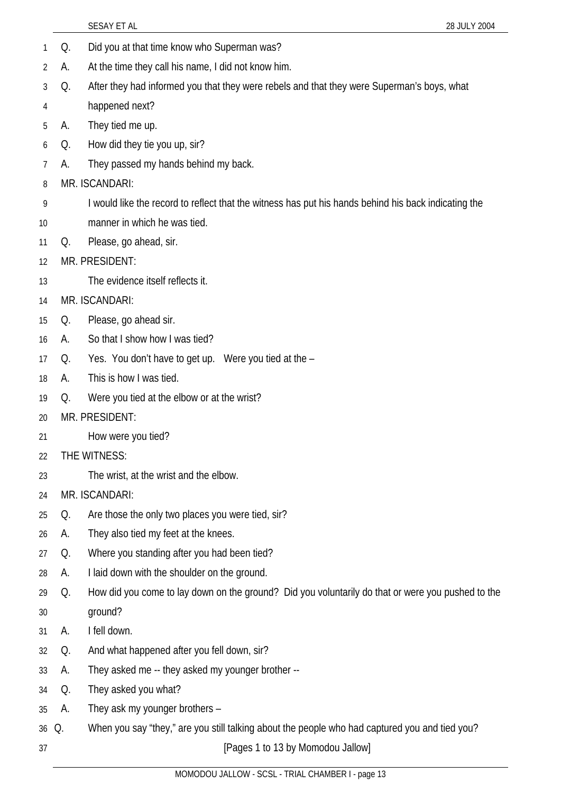|    |    | SESAY ET AL<br>28 JULY 2004                                                                          |
|----|----|------------------------------------------------------------------------------------------------------|
| 1  | Q. | Did you at that time know who Superman was?                                                          |
| 2  | А. | At the time they call his name, I did not know him.                                                  |
| 3  | Q. | After they had informed you that they were rebels and that they were Superman's boys, what           |
| 4  |    | happened next?                                                                                       |
| 5  | А. | They tied me up.                                                                                     |
| 6  | Q. | How did they tie you up, sir?                                                                        |
| 7  | А. | They passed my hands behind my back.                                                                 |
| 8  |    | MR. ISCANDARI:                                                                                       |
| 9  |    | I would like the record to reflect that the witness has put his hands behind his back indicating the |
| 10 |    | manner in which he was tied.                                                                         |
| 11 | Q. | Please, go ahead, sir.                                                                               |
| 12 |    | MR. PRESIDENT:                                                                                       |
| 13 |    | The evidence itself reflects it.                                                                     |
| 14 |    | MR. ISCANDARI:                                                                                       |
| 15 | Q. | Please, go ahead sir.                                                                                |
| 16 | А. | So that I show how I was tied?                                                                       |
| 17 | Q. | Yes. You don't have to get up. Were you tied at the -                                                |
| 18 | А. | This is how I was tied.                                                                              |
| 19 | Q. | Were you tied at the elbow or at the wrist?                                                          |
| 20 |    | MR. PRESIDENT:                                                                                       |
| 21 |    | How were you tied?                                                                                   |
| 22 |    | THE WITNESS:                                                                                         |
| 23 |    | The wrist, at the wrist and the elbow.                                                               |
| 24 |    | MR. ISCANDARI:                                                                                       |
| 25 | Q. | Are those the only two places you were tied, sir?                                                    |
| 26 | А. | They also tied my feet at the knees.                                                                 |
| 27 | Q. | Where you standing after you had been tied?                                                          |
| 28 | А. | I laid down with the shoulder on the ground.                                                         |
| 29 | Q. | How did you come to lay down on the ground? Did you voluntarily do that or were you pushed to the    |
| 30 |    | ground?                                                                                              |
| 31 | A. | I fell down.                                                                                         |
| 32 | Q. | And what happened after you fell down, sir?                                                          |
| 33 | А. | They asked me -- they asked my younger brother --                                                    |
| 34 | Q. | They asked you what?                                                                                 |
| 35 | А. | They ask my younger brothers -                                                                       |
| 36 | Q. | When you say "they," are you still talking about the people who had captured you and tied you?       |
| 37 |    | [Pages 1 to 13 by Momodou Jallow]                                                                    |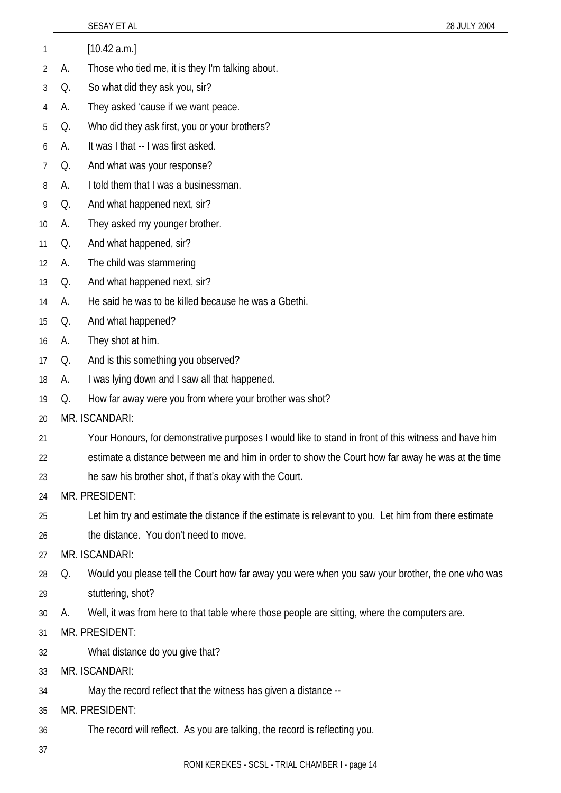|    |    | 28 JULY 2004<br>SESAY ET AL                                                                           |
|----|----|-------------------------------------------------------------------------------------------------------|
| 1  |    | [10.42 a.m.]                                                                                          |
| 2  | А. | Those who tied me, it is they I'm talking about.                                                      |
| 3  | Q. | So what did they ask you, sir?                                                                        |
| 4  | А. | They asked 'cause if we want peace.                                                                   |
| 5  | Q. | Who did they ask first, you or your brothers?                                                         |
| 6  | А. | It was I that -- I was first asked.                                                                   |
| 7  | Q. | And what was your response?                                                                           |
| 8  | A. | I told them that I was a businessman.                                                                 |
| 9  | Q. | And what happened next, sir?                                                                          |
| 10 | A. | They asked my younger brother.                                                                        |
| 11 | Q. | And what happened, sir?                                                                               |
| 12 | А. | The child was stammering                                                                              |
| 13 | Q. | And what happened next, sir?                                                                          |
| 14 | A. | He said he was to be killed because he was a Gbethi.                                                  |
| 15 | Q. | And what happened?                                                                                    |
| 16 | А. | They shot at him.                                                                                     |
| 17 | Q. | And is this something you observed?                                                                   |
| 18 | А. | I was lying down and I saw all that happened.                                                         |
| 19 | Q. | How far away were you from where your brother was shot?                                               |
| 20 |    | MR. ISCANDARI:                                                                                        |
| 21 |    | Your Honours, for demonstrative purposes I would like to stand in front of this witness and have him  |
| 22 |    | estimate a distance between me and him in order to show the Court how far away he was at the time     |
| 23 |    | he saw his brother shot, if that's okay with the Court.                                               |
| 24 |    | MR. PRESIDENT:                                                                                        |
| 25 |    | Let him try and estimate the distance if the estimate is relevant to you. Let him from there estimate |
| 26 |    | the distance. You don't need to move.                                                                 |
| 27 |    | MR. ISCANDARI:                                                                                        |
| 28 | Q. | Would you please tell the Court how far away you were when you saw your brother, the one who was      |
| 29 |    | stuttering, shot?                                                                                     |
| 30 | А. | Well, it was from here to that table where those people are sitting, where the computers are.         |
| 31 |    | MR. PRESIDENT:                                                                                        |
| 32 |    | What distance do you give that?                                                                       |
| 33 |    | MR. ISCANDARI:                                                                                        |
| 34 |    | May the record reflect that the witness has given a distance --                                       |
| 35 |    | MR. PRESIDENT:                                                                                        |
| 36 |    | The record will reflect. As you are talking, the record is reflecting you.                            |
| 37 |    | CCCL TOIAL CUAMBED L. nogo 1.                                                                         |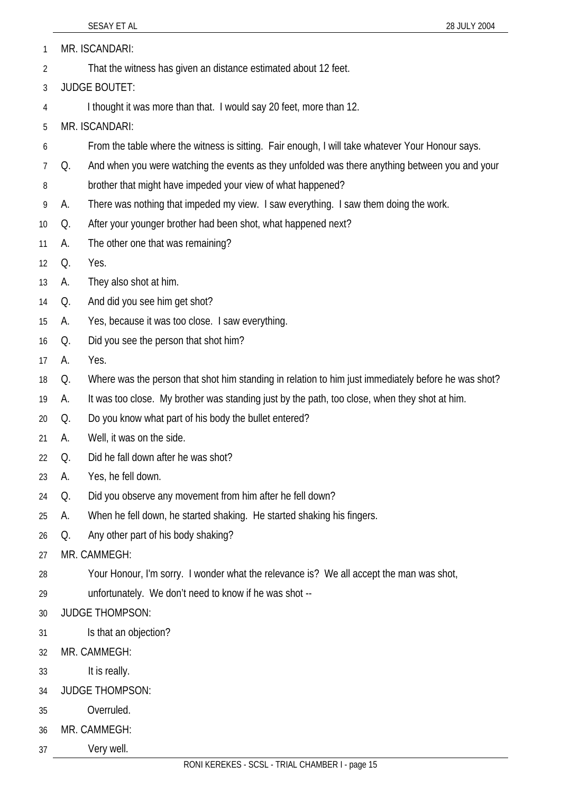1 MR. ISCANDARI:

- 2 That the witness has given an distance estimated about 12 feet.
- 3 JUDGE BOUTET:
- 4 I thought it was more than that. I would say 20 feet, more than 12.

5 MR. ISCANDARI:

- 6 From the table where the witness is sitting. Fair enough, I will take whatever Your Honour says.
- 7 Q. And when you were watching the events as they unfolded was there anything between you and your
- 8 brother that might have impeded your view of what happened?
- 9 A. There was nothing that impeded my view. I saw everything. I saw them doing the work.
- 10 Q. After your younger brother had been shot, what happened next?
- 11 A. The other one that was remaining?
- 12 Q. Yes.
- 13 A. They also shot at him.
- 14 Q. And did you see him get shot?
- 15 A. Yes, because it was too close. I saw everything.
- 16 Q. Did you see the person that shot him?
- 17 A. Yes.
- 18 Q. Where was the person that shot him standing in relation to him just immediately before he was shot?
- 19 A. It was too close. My brother was standing just by the path, too close, when they shot at him.
- 20 Q. Do you know what part of his body the bullet entered?
- 21 A. Well, it was on the side.
- 22 Q. Did he fall down after he was shot?
- 23 A. Yes, he fell down.
- 24 Q. Did you observe any movement from him after he fell down?
- 25 A. When he fell down, he started shaking. He started shaking his fingers.
- 26 Q. Any other part of his body shaking?
- 27 MR. CAMMEGH:
- 28 Your Honour, I'm sorry. I wonder what the relevance is? We all accept the man was shot,
- 29 unfortunately. We don't need to know if he was shot --
- 30 JUDGE THOMPSON:
- 31 Is that an objection?
- 32 MR. CAMMEGH:
- 33 It is really.
- 34 JUDGE THOMPSON:
- 35 Overruled.
- 36 MR. CAMMEGH:
- 37 Very well.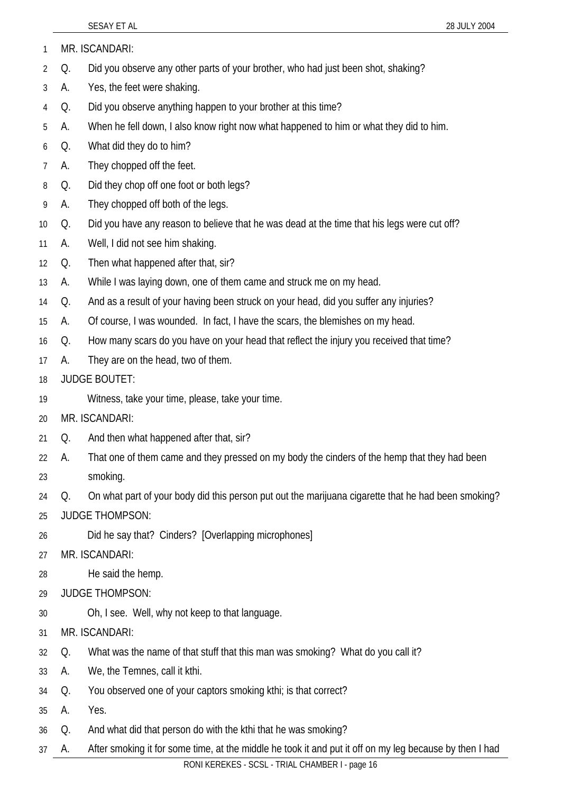| MR. ISCANDARI: |
|----------------|
|                |

- 2 Q. Did you observe any other parts of your brother, who had just been shot, shaking?
- 3 A. Yes, the feet were shaking.
- 4 Q. Did you observe anything happen to your brother at this time?
- 5 A. When he fell down, I also know right now what happened to him or what they did to him.
- 6 Q. What did they do to him?
- 7 A. They chopped off the feet.
- 8 Q. Did they chop off one foot or both legs?
- 9 A. They chopped off both of the legs.
- 10 Q. Did you have any reason to believe that he was dead at the time that his legs were cut off?
- 11 A. Well, I did not see him shaking.
- 12 Q. Then what happened after that, sir?
- 13 A. While I was laying down, one of them came and struck me on my head.
- 14 Q. And as a result of your having been struck on your head, did you suffer any injuries?
- 15 A. Of course, I was wounded. In fact, I have the scars, the blemishes on my head.
- 16 Q. How many scars do you have on your head that reflect the injury you received that time?
- 17 A. They are on the head, two of them.
- 18 JUDGE BOUTET:
- 19 Witness, take your time, please, take your time.
- 20 MR. ISCANDARI:
- 21 Q. And then what happened after that, sir?
- 22 A. That one of them came and they pressed on my body the cinders of the hemp that they had been
- 23 smoking.
- 24 Q. On what part of your body did this person put out the marijuana cigarette that he had been smoking?
- 25 JUDGE THOMPSON:
- 26 Did he say that? Cinders? [Overlapping microphones]
- 27 MR. ISCANDARI:
- 28 He said the hemp.
- 29 JUDGE THOMPSON:
- 30 Oh, I see. Well, why not keep to that language.
- 31 MR. ISCANDARI:
- 32 Q. What was the name of that stuff that this man was smoking? What do you call it?
- 33 A. We, the Temnes, call it kthi.
- 34 Q. You observed one of your captors smoking kthi; is that correct?
- 35 A. Yes.
- 36 Q. And what did that person do with the kthi that he was smoking?
- 37 A. After smoking it for some time, at the middle he took it and put it off on my leg because by then I had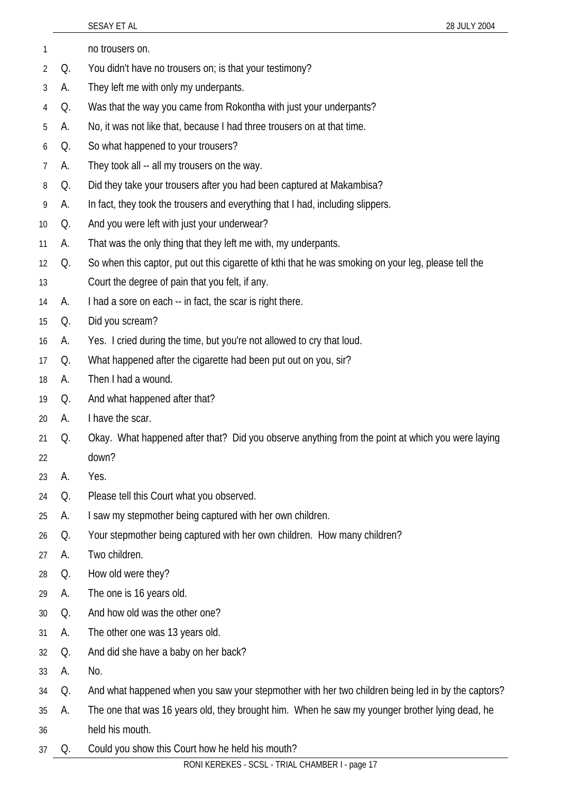|    |    | SESAY ET AL<br>28 JULY 2004                                                                          |
|----|----|------------------------------------------------------------------------------------------------------|
| 1  |    | no trousers on.                                                                                      |
| 2  | Q. | You didn't have no trousers on; is that your testimony?                                              |
| 3  | А. | They left me with only my underpants.                                                                |
| 4  | Q. | Was that the way you came from Rokontha with just your underpants?                                   |
| 5  | А. | No, it was not like that, because I had three trousers on at that time.                              |
| 6  | Q. | So what happened to your trousers?                                                                   |
| 7  | А. | They took all -- all my trousers on the way.                                                         |
| 8  | Q. | Did they take your trousers after you had been captured at Makambisa?                                |
| 9  | А. | In fact, they took the trousers and everything that I had, including slippers.                       |
| 10 | Q. | And you were left with just your underwear?                                                          |
| 11 | А. | That was the only thing that they left me with, my underpants.                                       |
| 12 | Q. | So when this captor, put out this cigarette of kthi that he was smoking on your leg, please tell the |
| 13 |    | Court the degree of pain that you felt, if any.                                                      |
| 14 | А. | I had a sore on each -- in fact, the scar is right there.                                            |
| 15 | Q. | Did you scream?                                                                                      |
| 16 | А. | Yes. I cried during the time, but you're not allowed to cry that loud.                               |
| 17 | Q. | What happened after the cigarette had been put out on you, sir?                                      |
| 18 | А. | Then I had a wound.                                                                                  |
| 19 | Q. | And what happened after that?                                                                        |
| 20 | А. | I have the scar.                                                                                     |
| 21 | Q. | Okay. What happened after that? Did you observe anything from the point at which you were laying     |
| 22 |    | down?                                                                                                |
| 23 | А. | Yes.                                                                                                 |
| 24 | Q. | Please tell this Court what you observed.                                                            |
| 25 | А. | I saw my stepmother being captured with her own children.                                            |
| 26 | Q. | Your stepmother being captured with her own children. How many children?                             |
| 27 | А. | Two children.                                                                                        |
| 28 | Q. | How old were they?                                                                                   |
| 29 | А. | The one is 16 years old.                                                                             |
| 30 | Q. | And how old was the other one?                                                                       |
| 31 | А. | The other one was 13 years old.                                                                      |
| 32 | Q. | And did she have a baby on her back?                                                                 |
| 33 | А. | No.                                                                                                  |
| 34 | Q. | And what happened when you saw your stepmother with her two children being led in by the captors?    |
| 35 | А. | The one that was 16 years old, they brought him. When he saw my younger brother lying dead, he       |
| 36 |    | held his mouth.                                                                                      |
| 37 | Q. | Could you show this Court how he held his mouth?                                                     |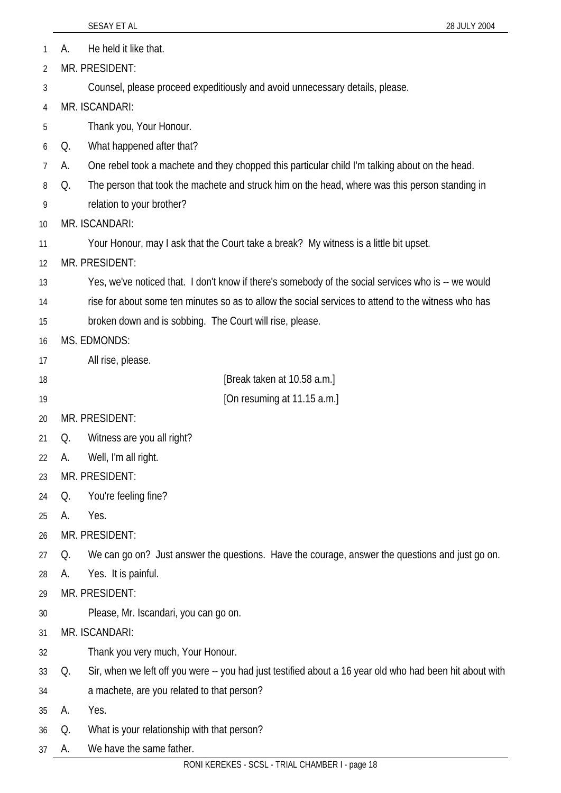|    | SESAY ET AL<br>28 JULY 2004                                                                              |
|----|----------------------------------------------------------------------------------------------------------|
| А. | He held it like that.                                                                                    |
|    | MR. PRESIDENT:                                                                                           |
|    | Counsel, please proceed expeditiously and avoid unnecessary details, please.                             |
|    | MR. ISCANDARI:                                                                                           |
|    | Thank you, Your Honour.                                                                                  |
| Q. | What happened after that?                                                                                |
| А. | One rebel took a machete and they chopped this particular child I'm talking about on the head.           |
| Q. | The person that took the machete and struck him on the head, where was this person standing in           |
|    | relation to your brother?                                                                                |
|    | MR. ISCANDARI:                                                                                           |
|    | Your Honour, may I ask that the Court take a break? My witness is a little bit upset.                    |
|    | MR. PRESIDENT:                                                                                           |
|    | Yes, we've noticed that. I don't know if there's somebody of the social services who is -- we would      |
|    | rise for about some ten minutes so as to allow the social services to attend to the witness who has      |
|    | broken down and is sobbing. The Court will rise, please.                                                 |
|    | MS. EDMONDS:                                                                                             |
|    | All rise, please.                                                                                        |
|    | [Break taken at 10.58 a.m.]                                                                              |
|    | [On resuming at 11.15 a.m.]                                                                              |
|    | MR. PRESIDENT:                                                                                           |
| O. | Witness are you all right?                                                                               |
| А. | Well, I'm all right.                                                                                     |
|    | MR. PRESIDENT:                                                                                           |
| Q. | You're feeling fine?                                                                                     |
| А. | Yes.                                                                                                     |
|    | MR. PRESIDENT:                                                                                           |
| Q. | We can go on? Just answer the questions. Have the courage, answer the questions and just go on.          |
| А. | Yes. It is painful.                                                                                      |
|    | MR. PRESIDENT:                                                                                           |
|    | Please, Mr. Iscandari, you can go on.                                                                    |
|    | MR. ISCANDARI:                                                                                           |
|    | Thank you very much, Your Honour.                                                                        |
| Q. | Sir, when we left off you were -- you had just testified about a 16 year old who had been hit about with |
|    | a machete, are you related to that person?                                                               |
| А. | Yes.                                                                                                     |
| Q. | What is your relationship with that person?                                                              |
| А. | We have the same father.                                                                                 |

1 2

3

4

5

6 7 8

9

10

11

12

13

14

15

16

17

18 19

20

21

22

23

24

25

26

27

28

29

30

31 32

33

34 35

36

37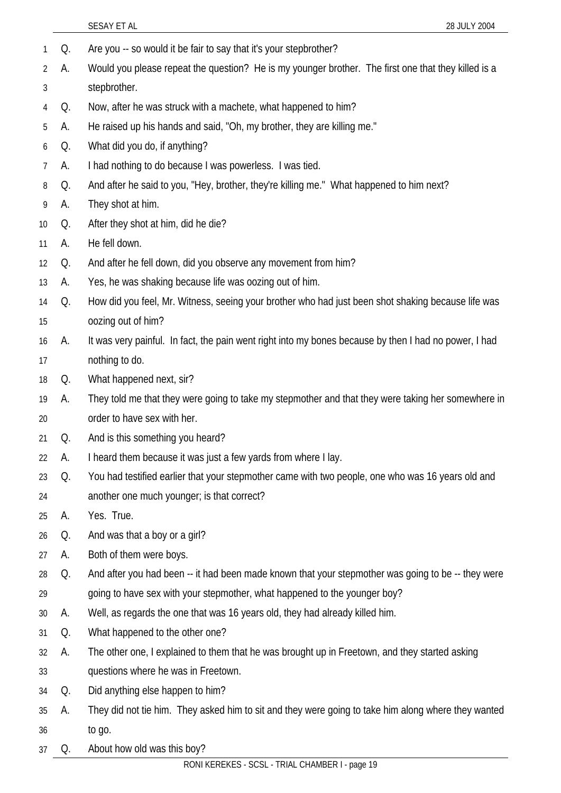|    |    | SESAY ET AL<br>28 JULY 2004                                                                           |
|----|----|-------------------------------------------------------------------------------------------------------|
| 1  | Q. | Are you -- so would it be fair to say that it's your stepbrother?                                     |
| 2  | А. | Would you please repeat the question? He is my younger brother. The first one that they killed is a   |
| 3  |    | stepbrother.                                                                                          |
| 4  | Q. | Now, after he was struck with a machete, what happened to him?                                        |
| 5  | A. | He raised up his hands and said, "Oh, my brother, they are killing me."                               |
| 6  | Q. | What did you do, if anything?                                                                         |
| 7  | A. | I had nothing to do because I was powerless. I was tied.                                              |
| 8  | Q. | And after he said to you, "Hey, brother, they're killing me." What happened to him next?              |
| 9  | A. | They shot at him.                                                                                     |
| 10 | Q. | After they shot at him, did he die?                                                                   |
| 11 | А. | He fell down.                                                                                         |
| 12 | Q. | And after he fell down, did you observe any movement from him?                                        |
| 13 | А. | Yes, he was shaking because life was oozing out of him.                                               |
| 14 | Q. | How did you feel, Mr. Witness, seeing your brother who had just been shot shaking because life was    |
| 15 |    | oozing out of him?                                                                                    |
| 16 | А. | It was very painful. In fact, the pain went right into my bones because by then I had no power, I had |
| 17 |    | nothing to do.                                                                                        |
| 18 | Q. | What happened next, sir?                                                                              |
| 19 | А. | They told me that they were going to take my stepmother and that they were taking her somewhere in    |
| 20 |    | order to have sex with her.                                                                           |
| 21 | Q. | And is this something you heard?                                                                      |
| 22 | А. | I heard them because it was just a few yards from where I lay.                                        |
| 23 | Q. | You had testified earlier that your stepmother came with two people, one who was 16 years old and     |
| 24 |    | another one much younger; is that correct?                                                            |
| 25 | А. | Yes. True.                                                                                            |
| 26 | Q. | And was that a boy or a girl?                                                                         |
| 27 | А. | Both of them were boys.                                                                               |
| 28 | Q. | And after you had been -- it had been made known that your stepmother was going to be -- they were    |
| 29 |    | going to have sex with your stepmother, what happened to the younger boy?                             |
| 30 | А. | Well, as regards the one that was 16 years old, they had already killed him.                          |
| 31 | Q. | What happened to the other one?                                                                       |
| 32 | А. | The other one, I explained to them that he was brought up in Freetown, and they started asking        |
| 33 |    | questions where he was in Freetown.                                                                   |
| 34 | Q. | Did anything else happen to him?                                                                      |
| 35 | А. | They did not tie him. They asked him to sit and they were going to take him along where they wanted   |
| 36 |    | to go.                                                                                                |
| 37 | Q. | About how old was this boy?                                                                           |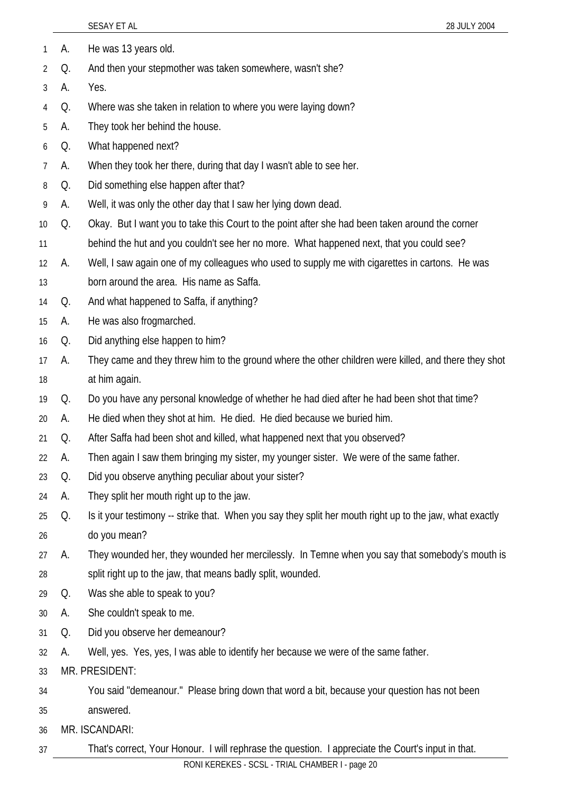|    |    | 28 JULY 2004<br>SESAY ET AL                                                                              |
|----|----|----------------------------------------------------------------------------------------------------------|
| 1  | А. | He was 13 years old.                                                                                     |
| 2  | Q. | And then your stepmother was taken somewhere, wasn't she?                                                |
| 3  | А. | Yes.                                                                                                     |
| 4  | Q. | Where was she taken in relation to where you were laying down?                                           |
| 5  | А. | They took her behind the house.                                                                          |
| 6  | Q. | What happened next?                                                                                      |
| 7  | А. | When they took her there, during that day I wasn't able to see her.                                      |
| 8  | Q. | Did something else happen after that?                                                                    |
| 9  | А. | Well, it was only the other day that I saw her lying down dead.                                          |
| 10 | Q. | Okay. But I want you to take this Court to the point after she had been taken around the corner          |
| 11 |    | behind the hut and you couldn't see her no more. What happened next, that you could see?                 |
| 12 | А. | Well, I saw again one of my colleagues who used to supply me with cigarettes in cartons. He was          |
| 13 |    | born around the area. His name as Saffa.                                                                 |
| 14 | Q. | And what happened to Saffa, if anything?                                                                 |
| 15 | А. | He was also frogmarched.                                                                                 |
| 16 | Q. | Did anything else happen to him?                                                                         |
| 17 | А. | They came and they threw him to the ground where the other children were killed, and there they shot     |
| 18 |    | at him again.                                                                                            |
| 19 | Q. | Do you have any personal knowledge of whether he had died after he had been shot that time?              |
| 20 | А. | He died when they shot at him. He died. He died because we buried him.                                   |
| 21 | Q. | After Saffa had been shot and killed, what happened next that you observed?                              |
| 22 | А. | Then again I saw them bringing my sister, my younger sister. We were of the same father.                 |
| 23 | Q. | Did you observe anything peculiar about your sister?                                                     |
| 24 | А. | They split her mouth right up to the jaw.                                                                |
| 25 | Q. | Is it your testimony -- strike that. When you say they split her mouth right up to the jaw, what exactly |
| 26 |    | do you mean?                                                                                             |
| 27 | А. | They wounded her, they wounded her mercilessly. In Temne when you say that somebody's mouth is           |
| 28 |    | split right up to the jaw, that means badly split, wounded.                                              |
| 29 | Q. | Was she able to speak to you?                                                                            |
| 30 | А. | She couldn't speak to me.                                                                                |
| 31 | Q. | Did you observe her demeanour?                                                                           |
| 32 | А. | Well, yes. Yes, yes, I was able to identify her because we were of the same father.                      |
| 33 |    | MR. PRESIDENT:                                                                                           |
| 34 |    | You said "demeanour." Please bring down that word a bit, because your question has not been              |
| 35 |    | answered.                                                                                                |
| 36 |    | MR. ISCANDARI:                                                                                           |
| 37 |    | That's correct, Your Honour. I will rephrase the question. I appreciate the Court's input in that.       |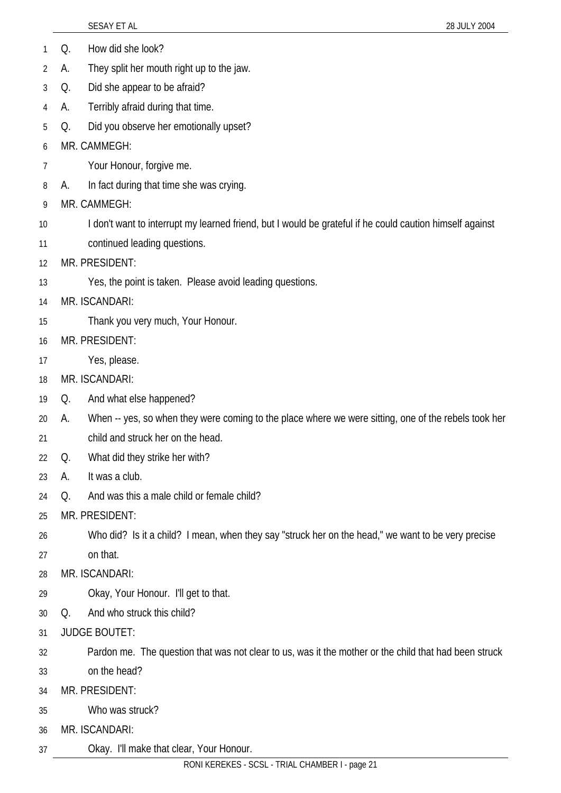|    |    | SESAY ET AL<br>28 JULY 2004                                                                              |
|----|----|----------------------------------------------------------------------------------------------------------|
|    | Q. | How did she look?                                                                                        |
| 2  | А. | They split her mouth right up to the jaw.                                                                |
| 3  | Q. | Did she appear to be afraid?                                                                             |
| 4  | А. | Terribly afraid during that time.                                                                        |
| 5  | Q. | Did you observe her emotionally upset?                                                                   |
| 6  |    | MR. CAMMEGH:                                                                                             |
| 7  |    | Your Honour, forgive me.                                                                                 |
| 8  | А. | In fact during that time she was crying.                                                                 |
| 9  |    | MR. CAMMEGH:                                                                                             |
| 10 |    | I don't want to interrupt my learned friend, but I would be grateful if he could caution himself against |
| 11 |    | continued leading questions.                                                                             |
| 12 |    | MR. PRESIDENT:                                                                                           |
| 13 |    | Yes, the point is taken. Please avoid leading questions.                                                 |
| 14 |    | MR. ISCANDARI:                                                                                           |
| 15 |    | Thank you very much, Your Honour.                                                                        |
| 16 |    | MR. PRESIDENT:                                                                                           |
| 17 |    | Yes, please.                                                                                             |
| 18 |    | MR. ISCANDARI:                                                                                           |
| 19 | Q. | And what else happened?                                                                                  |
| 20 | А. | When -- yes, so when they were coming to the place where we were sitting, one of the rebels took her     |
| 21 |    | child and struck her on the head                                                                         |
| 22 | Q. | What did they strike her with?                                                                           |
| 23 | А. | It was a club.                                                                                           |
| 24 | Q. | And was this a male child or female child?                                                               |
| 25 |    | MR. PRESIDENT:                                                                                           |
| 26 |    | Who did? Is it a child? I mean, when they say "struck her on the head," we want to be very precise       |
| 27 |    | on that.                                                                                                 |
| 28 |    | MR. ISCANDARI:                                                                                           |
| 29 |    | Okay, Your Honour. I'll get to that.                                                                     |
| 30 | Q. | And who struck this child?                                                                               |
| 31 |    | <b>JUDGE BOUTET:</b>                                                                                     |
| 32 |    | Pardon me. The question that was not clear to us, was it the mother or the child that had been struck    |
| 33 |    | on the head?                                                                                             |
| 34 |    | MR. PRESIDENT:                                                                                           |
| 35 |    | Who was struck?                                                                                          |
| 36 |    | MR. ISCANDARI:                                                                                           |
| 37 |    | Okay. I'll make that clear, Your Honour.                                                                 |
|    |    | RONI KEREKES - SCSL - TRIAL CHAMBER I - page 21                                                          |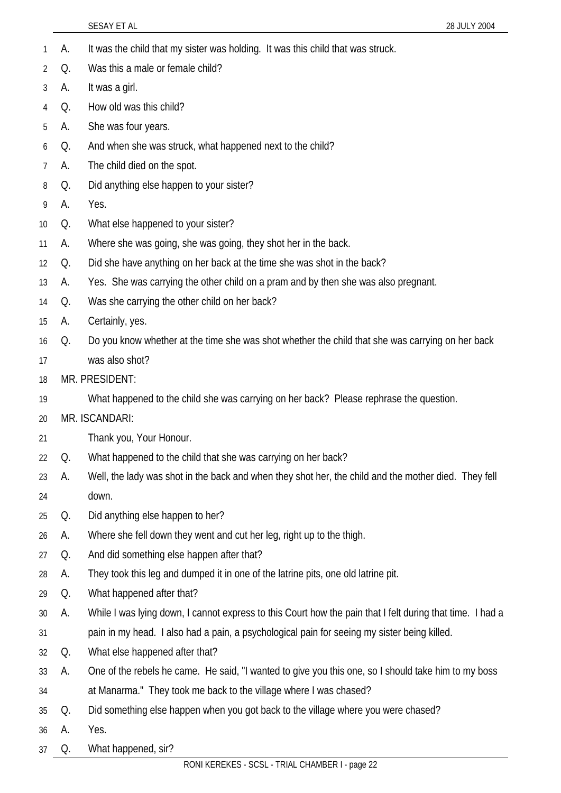|              |    | SESAY ET AL<br>28 JULY 2004                                                                               |
|--------------|----|-----------------------------------------------------------------------------------------------------------|
| $\mathbf{1}$ | А. | It was the child that my sister was holding. It was this child that was struck.                           |
| 2            | Q. | Was this a male or female child?                                                                          |
| 3            | А. | It was a girl.                                                                                            |
| 4            | Q. | How old was this child?                                                                                   |
| 5            | А. | She was four years.                                                                                       |
| 6            | Q. | And when she was struck, what happened next to the child?                                                 |
| 7            | А. | The child died on the spot.                                                                               |
| 8            | Q. | Did anything else happen to your sister?                                                                  |
| 9            | А. | Yes.                                                                                                      |
| 10           | Q. | What else happened to your sister?                                                                        |
| 11           | А. | Where she was going, she was going, they shot her in the back.                                            |
| 12           | Q. | Did she have anything on her back at the time she was shot in the back?                                   |
| 13           | А. | Yes. She was carrying the other child on a pram and by then she was also pregnant.                        |
| 14           | Q. | Was she carrying the other child on her back?                                                             |
| 15           | А. | Certainly, yes.                                                                                           |
| 16           | Q. | Do you know whether at the time she was shot whether the child that she was carrying on her back          |
| 17           |    | was also shot?                                                                                            |
| 18           |    | MR. PRESIDENT:                                                                                            |
| 19           |    | What happened to the child she was carrying on her back? Please rephrase the question.                    |
| 20           |    | MR. ISCANDARI:                                                                                            |
| 21           |    | Thank you, Your Honour.                                                                                   |
| 22           | Q. | What happened to the child that she was carrying on her back?                                             |
| 23           | А. | Well, the lady was shot in the back and when they shot her, the child and the mother died. They fell      |
| 24           |    | down.                                                                                                     |
| 25           | Q. | Did anything else happen to her?                                                                          |
| 26           | A. | Where she fell down they went and cut her leg, right up to the thigh.                                     |
| 27           | Q. | And did something else happen after that?                                                                 |
| 28           | A. | They took this leg and dumped it in one of the latrine pits, one old latrine pit.                         |
| 29           | Q. | What happened after that?                                                                                 |
| 30           | А. | While I was lying down, I cannot express to this Court how the pain that I felt during that time. I had a |
| 31           |    | pain in my head. I also had a pain, a psychological pain for seeing my sister being killed.               |
| 32           | Q. | What else happened after that?                                                                            |
| 33           | А. | One of the rebels he came. He said, "I wanted to give you this one, so I should take him to my boss       |
| 34           |    | at Manarma." They took me back to the village where I was chased?                                         |
| 35           | Q. | Did something else happen when you got back to the village where you were chased?                         |
| 36           | A. | Yes.                                                                                                      |
| 37           | Q. | What happened, sir?                                                                                       |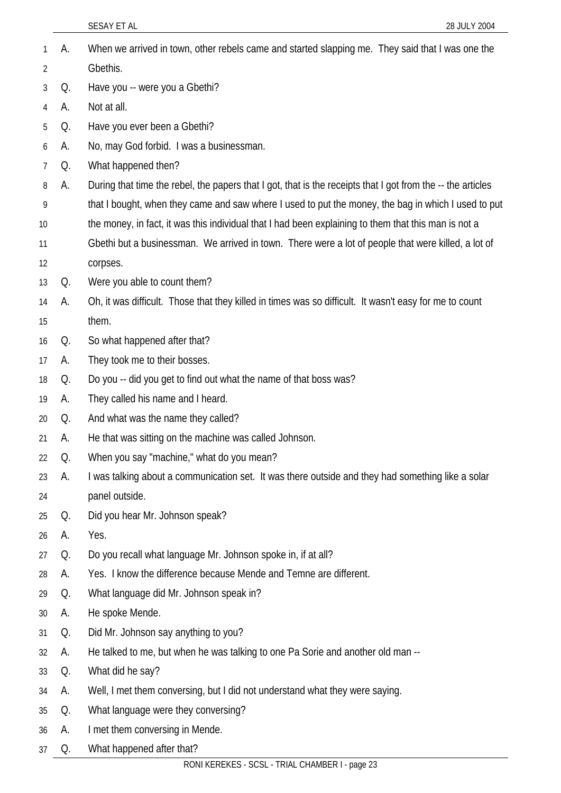|    |    | SESAY ET AL<br>28 JULY 2004                                                                                 |
|----|----|-------------------------------------------------------------------------------------------------------------|
| 1  | А. | When we arrived in town, other rebels came and started slapping me. They said that I was one the            |
| 2  |    | Gbethis.                                                                                                    |
| 3  | Q. | Have you -- were you a Gbethi?                                                                              |
| 4  | А. | Not at all.                                                                                                 |
| 5  | Q. | Have you ever been a Gbethi?                                                                                |
| 6  | А. | No, may God forbid. I was a businessman.                                                                    |
| 7  | Q. | What happened then?                                                                                         |
| 8  | А. | During that time the rebel, the papers that I got, that is the receipts that I got from the -- the articles |
| 9  |    | that I bought, when they came and saw where I used to put the money, the bag in which I used to put         |
| 10 |    | the money, in fact, it was this individual that I had been explaining to them that this man is not a        |
| 11 |    | Gbethi but a businessman. We arrived in town. There were a lot of people that were killed, a lot of         |
| 12 |    | corpses.                                                                                                    |
| 13 | Q. | Were you able to count them?                                                                                |
| 14 | А. | Oh, it was difficult. Those that they killed in times was so difficult. It wasn't easy for me to count      |
| 15 |    | them.                                                                                                       |
| 16 | Q. | So what happened after that?                                                                                |
| 17 | А. | They took me to their bosses.                                                                               |
| 18 | Q. | Do you -- did you get to find out what the name of that boss was?                                           |
| 19 | А. | They called his name and I heard.                                                                           |
| 20 | Q. | And what was the name they called?                                                                          |
| 21 | А. | He that was sitting on the machine was called Johnson.                                                      |
| 22 | Q. | When you say "machine," what do you mean?                                                                   |
| 23 | А. | I was talking about a communication set. It was there outside and they had something like a solar           |
| 24 |    | panel outside.                                                                                              |
| 25 | Q. | Did you hear Mr. Johnson speak?                                                                             |
| 26 | А. | Yes.                                                                                                        |
| 27 | Q. | Do you recall what language Mr. Johnson spoke in, if at all?                                                |
| 28 | А. | Yes. I know the difference because Mende and Temne are different.                                           |
| 29 | Q. | What language did Mr. Johnson speak in?                                                                     |
| 30 | А. | He spoke Mende.                                                                                             |
| 31 | Q. | Did Mr. Johnson say anything to you?                                                                        |
| 32 | А. | He talked to me, but when he was talking to one Pa Sorie and another old man --                             |
| 33 | Q. | What did he say?                                                                                            |
| 34 | А. | Well, I met them conversing, but I did not understand what they were saying.                                |
| 35 | Q. | What language were they conversing?                                                                         |
| 36 | А. | I met them conversing in Mende.                                                                             |
| 37 | Q. | What happened after that?                                                                                   |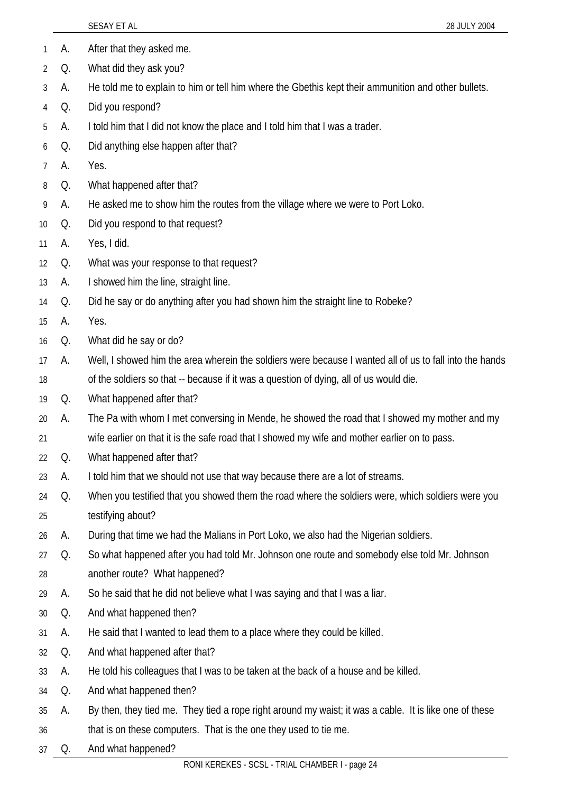|                |    | SESAY ET AL<br>28 JULY 2004                                                                             |
|----------------|----|---------------------------------------------------------------------------------------------------------|
| 1              | A. | After that they asked me.                                                                               |
| 2              | Q. | What did they ask you?                                                                                  |
| 3              | А. | He told me to explain to him or tell him where the Gbethis kept their ammunition and other bullets.     |
| 4              | Q. | Did you respond?                                                                                        |
| 5              | А. | I told him that I did not know the place and I told him that I was a trader.                            |
| 6              | Q. | Did anything else happen after that?                                                                    |
| $\overline{7}$ | А. | Yes.                                                                                                    |
| 8              | Q. | What happened after that?                                                                               |
| 9              | А. | He asked me to show him the routes from the village where we were to Port Loko.                         |
| 10             | Q. | Did you respond to that request?                                                                        |
| 11             | А. | Yes, I did.                                                                                             |
| 12             | Q. | What was your response to that request?                                                                 |
| 13             | А. | I showed him the line, straight line.                                                                   |
| 14             | Q. | Did he say or do anything after you had shown him the straight line to Robeke?                          |
| 15             | А. | Yes.                                                                                                    |
| 16             | Q. | What did he say or do?                                                                                  |
| 17             | А. | Well, I showed him the area wherein the soldiers were because I wanted all of us to fall into the hands |
| 18             |    | of the soldiers so that -- because if it was a question of dying, all of us would die.                  |
| 19             | Q. | What happened after that?                                                                               |
| 20             | А. | The Pa with whom I met conversing in Mende, he showed the road that I showed my mother and my           |
| 21             |    | wife earlier on that it is the safe road that I showed my wife and mother earlier on to pass.           |
| 22             | Q. | What happened after that?                                                                               |
| 23             | А. | I told him that we should not use that way because there are a lot of streams.                          |
| 24             | Q. | When you testified that you showed them the road where the soldiers were, which soldiers were you       |
| 25             |    | testifying about?                                                                                       |
| 26             | А. | During that time we had the Malians in Port Loko, we also had the Nigerian soldiers.                    |
| 27             | Q. | So what happened after you had told Mr. Johnson one route and somebody else told Mr. Johnson            |
| 28             |    | another route? What happened?                                                                           |
| 29             | А. | So he said that he did not believe what I was saying and that I was a liar.                             |
| 30             | Q. | And what happened then?                                                                                 |
| 31             | А. | He said that I wanted to lead them to a place where they could be killed.                               |
| 32             | Q. | And what happened after that?                                                                           |
| 33             | А. | He told his colleagues that I was to be taken at the back of a house and be killed.                     |
| 34             | Q. | And what happened then?                                                                                 |
| 35             | А. | By then, they tied me. They tied a rope right around my waist; it was a cable. It is like one of these  |
| 36             |    | that is on these computers. That is the one they used to tie me.                                        |
| 37             | Q. | And what happened?                                                                                      |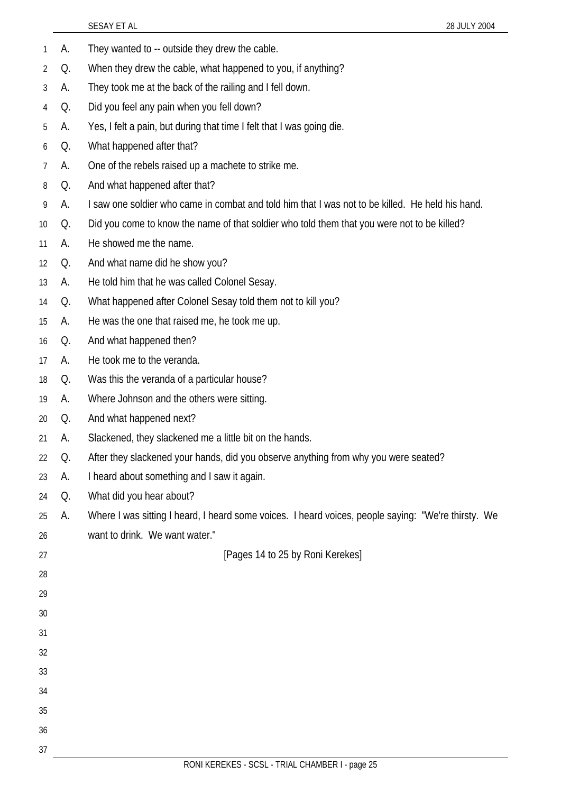|    |    | 28 JULY 2004<br>SESAY ET AL                                                                         |
|----|----|-----------------------------------------------------------------------------------------------------|
| 1  | А. | They wanted to -- outside they drew the cable.                                                      |
| 2  | Q. | When they drew the cable, what happened to you, if anything?                                        |
| 3  | А. | They took me at the back of the railing and I fell down.                                            |
| 4  | Q. | Did you feel any pain when you fell down?                                                           |
| 5  | А. | Yes, I felt a pain, but during that time I felt that I was going die.                               |
| 6  | Q. | What happened after that?                                                                           |
| 7  | А. | One of the rebels raised up a machete to strike me.                                                 |
| 8  | Q. | And what happened after that?                                                                       |
| 9  | А. | I saw one soldier who came in combat and told him that I was not to be killed. He held his hand.    |
| 10 | Q. | Did you come to know the name of that soldier who told them that you were not to be killed?         |
| 11 | А. | He showed me the name.                                                                              |
| 12 | Q. | And what name did he show you?                                                                      |
| 13 | А. | He told him that he was called Colonel Sesay.                                                       |
| 14 | Q. | What happened after Colonel Sesay told them not to kill you?                                        |
| 15 | А. | He was the one that raised me, he took me up.                                                       |
| 16 | Q. | And what happened then?                                                                             |
| 17 | А. | He took me to the veranda.                                                                          |
| 18 | Q. | Was this the veranda of a particular house?                                                         |
| 19 | А. | Where Johnson and the others were sitting.                                                          |
| 20 | Q. | And what happened next?                                                                             |
| 21 | A. | Slackened, they slackened me a little bit on the hands.                                             |
| 22 | Q. | After they slackened your hands, did you observe anything from why you were seated?                 |
| 23 | А. | I heard about something and I saw it again.                                                         |
| 24 | Q. | What did you hear about?                                                                            |
| 25 | А. | Where I was sitting I heard, I heard some voices. I heard voices, people saying: "We're thirsty. We |
| 26 |    | want to drink. We want water."                                                                      |
| 27 |    | [Pages 14 to 25 by Roni Kerekes]                                                                    |
| 28 |    |                                                                                                     |
| 29 |    |                                                                                                     |
| 30 |    |                                                                                                     |
| 31 |    |                                                                                                     |
| 32 |    |                                                                                                     |
| 33 |    |                                                                                                     |
| 34 |    |                                                                                                     |
| 35 |    |                                                                                                     |
| 36 |    |                                                                                                     |
| 37 |    |                                                                                                     |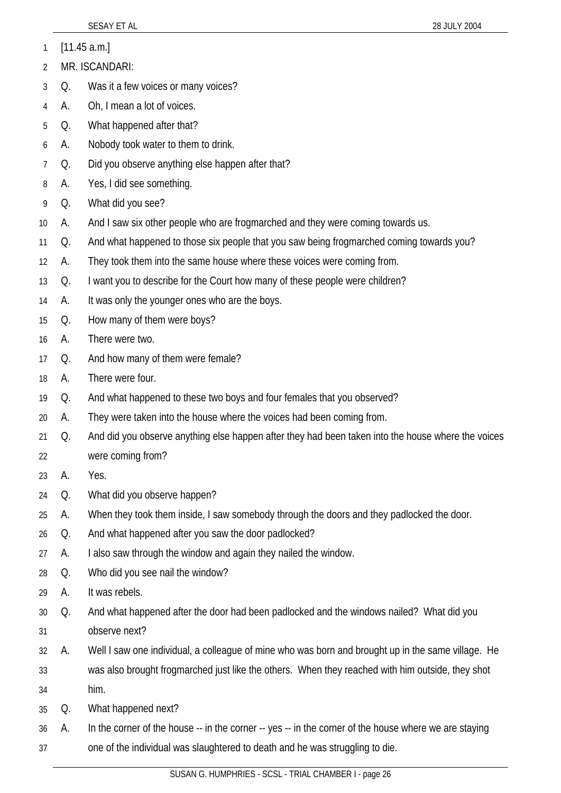1 [11.45 a.m.]

- 2 MR. ISCANDARI:
- 3 Q. Was it a few voices or many voices?
- 4 A. Oh, I mean a lot of voices.
- 5 Q. What happened after that?
- 6 A. Nobody took water to them to drink.
- 7 Q. Did you observe anything else happen after that?
- 8 A. Yes, I did see something.
- 9 Q. What did you see?
- 10 A. And I saw six other people who are frogmarched and they were coming towards us.
- 11 Q. And what happened to those six people that you saw being frogmarched coming towards you?
- 12 A. They took them into the same house where these voices were coming from.
- 13 Q. I want you to describe for the Court how many of these people were children?
- 14 A. It was only the younger ones who are the boys.
- 15 Q. How many of them were boys?
- 16 A. There were two.
- 17 Q. And how many of them were female?
- 18 A. There were four.
- 19 Q. And what happened to these two boys and four females that you observed?
- 20 A. They were taken into the house where the voices had been coming from.
- 21 22 Q. And did you observe anything else happen after they had been taken into the house where the voices were coming from?
- 23 A. Yes.
- 24 Q. What did you observe happen?
- 25 A. When they took them inside, I saw somebody through the doors and they padlocked the door.
- 26 Q. And what happened after you saw the door padlocked?
- 27 A. I also saw through the window and again they nailed the window.
- 28 Q. Who did you see nail the window?
- 29 A. It was rebels.
- 30 31 Q. And what happened after the door had been padlocked and the windows nailed? What did you observe next?
- 32 33 A. Well I saw one individual, a colleague of mine who was born and brought up in the same village. He was also brought frogmarched just like the others. When they reached with him outside, they shot
- 34 him.
- 35 Q. What happened next?
- 36 37 A. In the corner of the house -- in the corner -- yes -- in the corner of the house where we are staying one of the individual was slaughtered to death and he was struggling to die.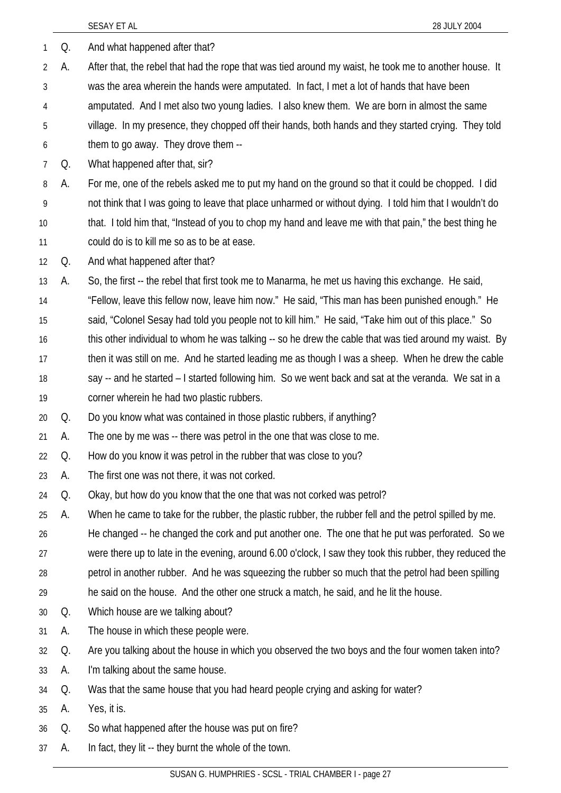| 1              | Q. | And what happened after that?                                                                            |
|----------------|----|----------------------------------------------------------------------------------------------------------|
| $\overline{2}$ | А. | After that, the rebel that had the rope that was tied around my waist, he took me to another house. It   |
| 3              |    | was the area wherein the hands were amputated. In fact, I met a lot of hands that have been              |
| 4              |    | amputated. And I met also two young ladies. I also knew them. We are born in almost the same             |
| 5              |    | village. In my presence, they chopped off their hands, both hands and they started crying. They told     |
| 6              |    | them to go away. They drove them --                                                                      |
| $\overline{7}$ | Q. | What happened after that, sir?                                                                           |
| 8              | А. | For me, one of the rebels asked me to put my hand on the ground so that it could be chopped. I did       |
| 9              |    | not think that I was going to leave that place unharmed or without dying. I told him that I wouldn't do  |
| 10             |    | that. I told him that, "Instead of you to chop my hand and leave me with that pain," the best thing he   |
| 11             |    | could do is to kill me so as to be at ease.                                                              |
| 12             | Q. | And what happened after that?                                                                            |
| 13             | А. | So, the first -- the rebel that first took me to Manarma, he met us having this exchange. He said,       |
| 14             |    | "Fellow, leave this fellow now, leave him now." He said, "This man has been punished enough." He         |
| 15             |    | said, "Colonel Sesay had told you people not to kill him." He said, "Take him out of this place." So     |
| 16             |    | this other individual to whom he was talking -- so he drew the cable that was tied around my waist. By   |
| 17             |    | then it was still on me. And he started leading me as though I was a sheep. When he drew the cable       |
| 18             |    | say -- and he started - I started following him. So we went back and sat at the veranda. We sat in a     |
| 19             |    | corner wherein he had two plastic rubbers.                                                               |
| 20             | Q. | Do you know what was contained in those plastic rubbers, if anything?                                    |
| 21             | А. | The one by me was -- there was petrol in the one that was close to me.                                   |
| 22             | Q  | How do you know it was petrol in the rubber that was close to you?                                       |
| 23             | А. | The first one was not there, it was not corked.                                                          |
| 24             | Q. | Okay, but how do you know that the one that was not corked was petrol?                                   |
| 25             | А. | When he came to take for the rubber, the plastic rubber, the rubber fell and the petrol spilled by me.   |
| 26             |    | He changed -- he changed the cork and put another one. The one that he put was perforated. So we         |
| 27             |    | were there up to late in the evening, around 6.00 o'clock, I saw they took this rubber, they reduced the |
| 28             |    | petrol in another rubber. And he was squeezing the rubber so much that the petrol had been spilling      |
| 29             |    | he said on the house. And the other one struck a match, he said, and he lit the house.                   |
| 30             | Q. | Which house are we talking about?                                                                        |
| 31             | А. | The house in which these people were.                                                                    |
| 32             | Q. | Are you talking about the house in which you observed the two boys and the four women taken into?        |
| 33             | А. | I'm talking about the same house.                                                                        |
| 34             | Q. | Was that the same house that you had heard people crying and asking for water?                           |
| 35             | А. | Yes, it is.                                                                                              |
| 36             | Q. | So what happened after the house was put on fire?                                                        |
| 37             | A. | In fact, they lit -- they burnt the whole of the town.                                                   |
|                |    | SUSAN G. HUMPHRIES - SCSL - TRIAL CHAMBER I - page 27                                                    |
|                |    |                                                                                                          |

SESAY ET AL 28 JULY 2004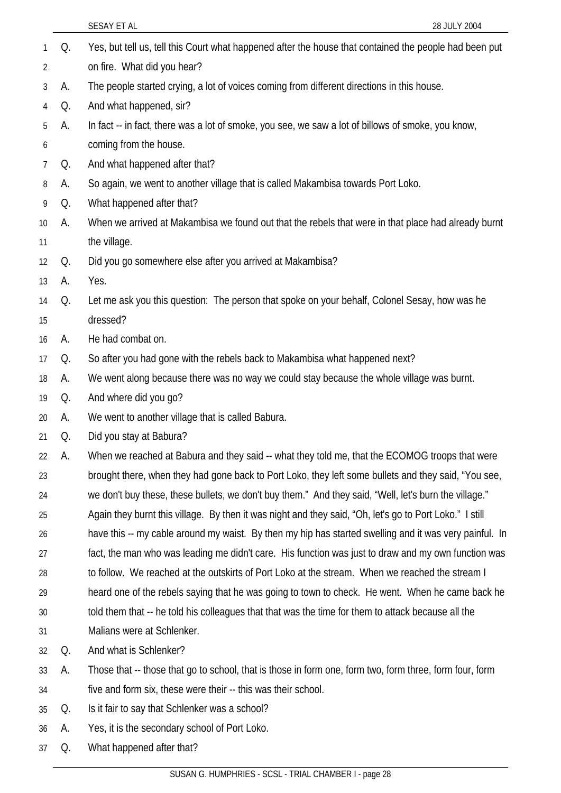|    |    | SESAY ET AL<br>28 JULY 2004                                                                             |
|----|----|---------------------------------------------------------------------------------------------------------|
| 1  | Q. | Yes, but tell us, tell this Court what happened after the house that contained the people had been put  |
| 2  |    | on fire. What did you hear?                                                                             |
| 3  | А. | The people started crying, a lot of voices coming from different directions in this house.              |
| 4  | Q. | And what happened, sir?                                                                                 |
| 5  | А. | In fact -- in fact, there was a lot of smoke, you see, we saw a lot of billows of smoke, you know,      |
| 6  |    | coming from the house.                                                                                  |
| 7  | Q. | And what happened after that?                                                                           |
| 8  | А. | So again, we went to another village that is called Makambisa towards Port Loko.                        |
| 9  | Q. | What happened after that?                                                                               |
| 10 | А. | When we arrived at Makambisa we found out that the rebels that were in that place had already burnt     |
| 11 |    | the village.                                                                                            |
| 12 | Q. | Did you go somewhere else after you arrived at Makambisa?                                               |
| 13 | А. | Yes.                                                                                                    |
| 14 | Q. | Let me ask you this question: The person that spoke on your behalf, Colonel Sesay, how was he           |
| 15 |    | dressed?                                                                                                |
| 16 | А. | He had combat on.                                                                                       |
| 17 | Q. | So after you had gone with the rebels back to Makambisa what happened next?                             |
| 18 | А. | We went along because there was no way we could stay because the whole village was burnt.               |
| 19 | Q. | And where did you go?                                                                                   |
| 20 | A. | We went to another village that is called Babura.                                                       |
| 21 | Q. | Did you stay at Babura?                                                                                 |
| 22 | А. | When we reached at Babura and they said -- what they told me, that the ECOMOG troops that were          |
| 23 |    | brought there, when they had gone back to Port Loko, they left some bullets and they said, "You see,    |
| 24 |    | we don't buy these, these bullets, we don't buy them." And they said, "Well, let's burn the village."   |
| 25 |    | Again they burnt this village. By then it was night and they said, "Oh, let's go to Port Loko." I still |
| 26 |    | have this -- my cable around my waist. By then my hip has started swelling and it was very painful. In  |
| 27 |    | fact, the man who was leading me didn't care. His function was just to draw and my own function was     |
| 28 |    | to follow. We reached at the outskirts of Port Loko at the stream. When we reached the stream I         |
| 29 |    | heard one of the rebels saying that he was going to town to check. He went. When he came back he        |
| 30 |    | told them that -- he told his colleagues that that was the time for them to attack because all the      |
| 31 |    | Malians were at Schlenker.                                                                              |
| 32 | Q. | And what is Schlenker?                                                                                  |
| 33 | А. | Those that -- those that go to school, that is those in form one, form two, form three, form four, form |
| 34 |    | five and form six, these were their -- this was their school.                                           |
| 35 | Q. | Is it fair to say that Schlenker was a school?                                                          |
| 36 | A. | Yes, it is the secondary school of Port Loko.                                                           |

37 Q. What happened after that?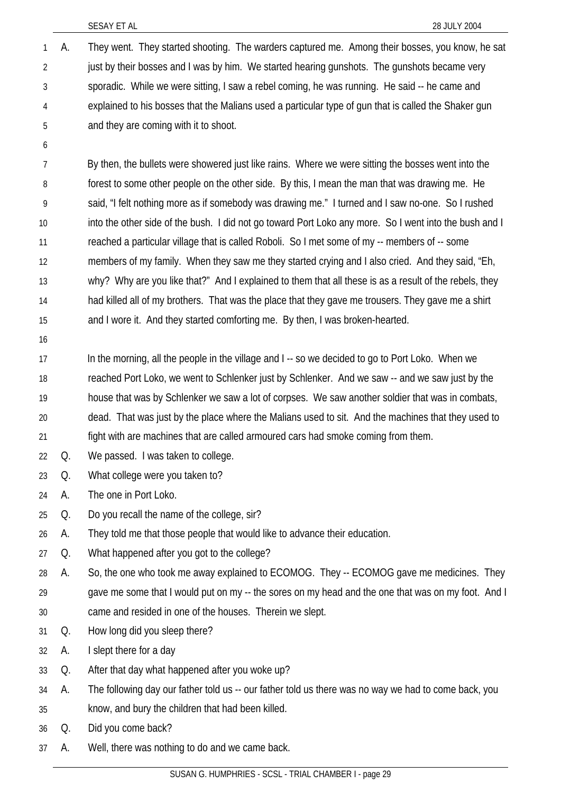- A. They went. They started shooting. The warders captured me. Among their bosses, you know, he sat just by their bosses and I was by him. We started hearing gunshots. The gunshots became very sporadic. While we were sitting, I saw a rebel coming, he was running. He said -- he came and explained to his bosses that the Malians used a particular type of gun that is called the Shaker gun and they are coming with it to shoot. 1 2 3 4 5
- 6

7 8 9 10 11 12 13 14 15 By then, the bullets were showered just like rains. Where we were sitting the bosses went into the forest to some other people on the other side. By this, I mean the man that was drawing me. He said, "I felt nothing more as if somebody was drawing me." I turned and I saw no-one. So I rushed into the other side of the bush. I did not go toward Port Loko any more. So I went into the bush and I reached a particular village that is called Roboli. So I met some of my -- members of -- some members of my family. When they saw me they started crying and I also cried. And they said, "Eh, why? Why are you like that?" And I explained to them that all these is as a result of the rebels, they had killed all of my brothers. That was the place that they gave me trousers. They gave me a shirt and I wore it. And they started comforting me. By then, I was broken-hearted.

16

17 18 19 20 21 In the morning, all the people in the village and I -- so we decided to go to Port Loko. When we reached Port Loko, we went to Schlenker just by Schlenker. And we saw -- and we saw just by the house that was by Schlenker we saw a lot of corpses. We saw another soldier that was in combats, dead. That was just by the place where the Malians used to sit. And the machines that they used to fight with are machines that are called armoured cars had smoke coming from them.

- 22 Q. We passed. I was taken to college.
- 23 Q. What college were you taken to?
- 24 A. The one in Port Loko.
- 25 Q. Do you recall the name of the college, sir?
- 26 A. They told me that those people that would like to advance their education.
- 27 Q. What happened after you got to the college?
- 28 29 30 A. So, the one who took me away explained to ECOMOG. They -- ECOMOG gave me medicines. They gave me some that I would put on my -- the sores on my head and the one that was on my foot. And I came and resided in one of the houses. Therein we slept.
- 31 Q. How long did you sleep there?
- 32 A. I slept there for a day
- 33 Q. After that day what happened after you woke up?
- 34 A. The following day our father told us -- our father told us there was no way we had to come back, you
- 35 know, and bury the children that had been killed.
- 36 Q. Did you come back?
- 37 A. Well, there was nothing to do and we came back.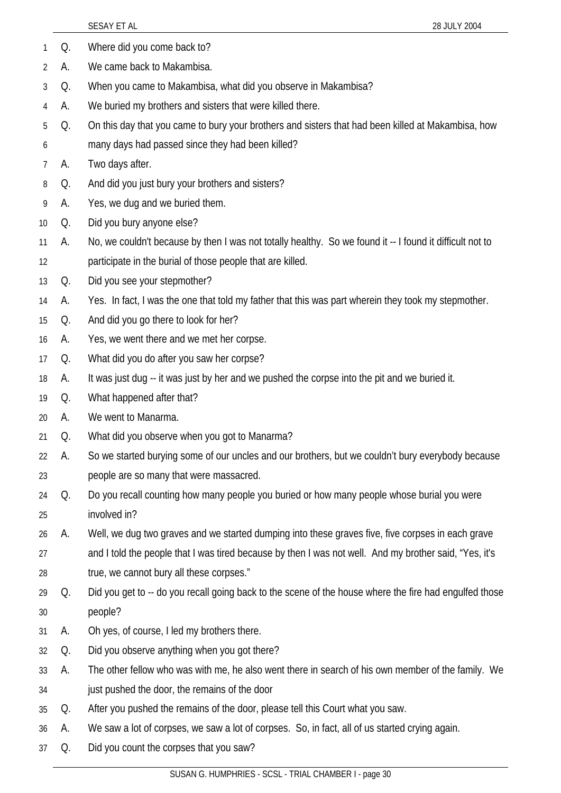|                |    | 28 JULY 2004<br>SESAY ET AL                                                                              |
|----------------|----|----------------------------------------------------------------------------------------------------------|
| 1              | Q. | Where did you come back to?                                                                              |
| $\overline{2}$ | А. | We came back to Makambisa.                                                                               |
| 3              | Q. | When you came to Makambisa, what did you observe in Makambisa?                                           |
| 4              | А. | We buried my brothers and sisters that were killed there.                                                |
| 5              | Q. | On this day that you came to bury your brothers and sisters that had been killed at Makambisa, how       |
| 6              |    | many days had passed since they had been killed?                                                         |
| 7              | А. | Two days after.                                                                                          |
| 8              | Q. | And did you just bury your brothers and sisters?                                                         |
| 9              | А. | Yes, we dug and we buried them.                                                                          |
| 10             | Q. | Did you bury anyone else?                                                                                |
| 11             | А. | No, we couldn't because by then I was not totally healthy. So we found it -- I found it difficult not to |
| 12             |    | participate in the burial of those people that are killed.                                               |
| 13             | Q. | Did you see your stepmother?                                                                             |
| 14             | A. | Yes. In fact, I was the one that told my father that this was part wherein they took my stepmother.      |
| 15             | Q. | And did you go there to look for her?                                                                    |
| 16             | A. | Yes, we went there and we met her corpse.                                                                |
| 17             | Q. | What did you do after you saw her corpse?                                                                |
| 18             | А. | It was just dug -- it was just by her and we pushed the corpse into the pit and we buried it.            |
| 19             | Q. | What happened after that?                                                                                |
| 20             | А. | We went to Manarma.                                                                                      |
| 21             | Q. | What did you observe when you got to Manarma?                                                            |
| 22             | А. | So we started burying some of our uncles and our brothers, but we couldn't bury everybody because        |
| 23             |    | people are so many that were massacred.                                                                  |
| 24             | Q. | Do you recall counting how many people you buried or how many people whose burial you were               |
| 25             |    | involved in?                                                                                             |
| 26             | А. | Well, we dug two graves and we started dumping into these graves five, five corpses in each grave        |
| 27             |    | and I told the people that I was tired because by then I was not well. And my brother said, "Yes, it's   |
| 28             |    | true, we cannot bury all these corpses."                                                                 |
| 29             | Q. | Did you get to -- do you recall going back to the scene of the house where the fire had engulfed those   |
| 30             |    | people?                                                                                                  |
| 31             | А. | Oh yes, of course, I led my brothers there.                                                              |
| 32             | Q. | Did you observe anything when you got there?                                                             |
| 33             | А. | The other fellow who was with me, he also went there in search of his own member of the family. We       |
| 34             |    | just pushed the door, the remains of the door                                                            |
| 35             | Q. | After you pushed the remains of the door, please tell this Court what you saw.                           |
| 36             | A. | We saw a lot of corpses, we saw a lot of corpses. So, in fact, all of us started crying again.           |
| 37             | Q. | Did you count the corpses that you saw?                                                                  |
|                |    | CUCAN C ULIMPUDIES SCSL TRIAL CUAMPER L. 2000.20                                                         |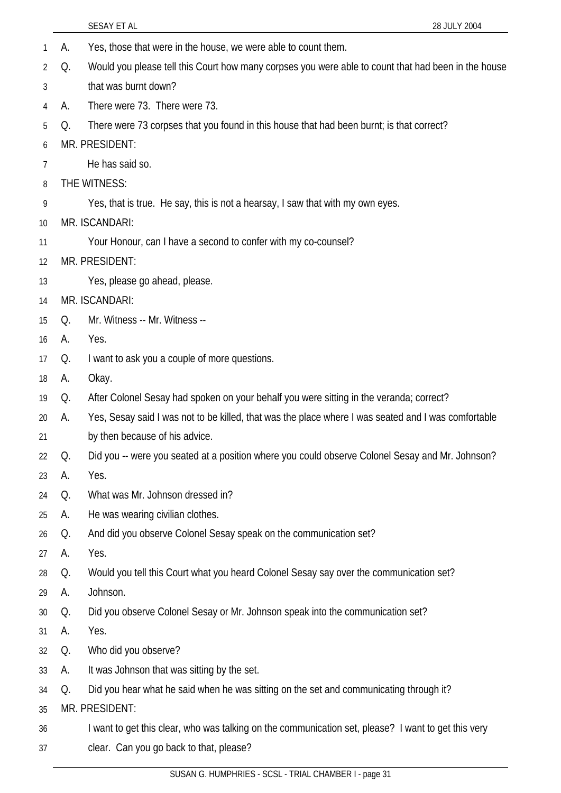|    |    | SESAY ET AL<br>28 JULY 2004                                                                         |
|----|----|-----------------------------------------------------------------------------------------------------|
| 1  | А. | Yes, those that were in the house, we were able to count them.                                      |
| 2  | Q. | Would you please tell this Court how many corpses you were able to count that had been in the house |
| 3  |    | that was burnt down?                                                                                |
| 4  | А. | There were 73. There were 73.                                                                       |
| 5  | Q. | There were 73 corpses that you found in this house that had been burnt; is that correct?            |
| 6  |    | MR. PRESIDENT:                                                                                      |
| 7  |    | He has said so.                                                                                     |
| 8  |    | THE WITNESS:                                                                                        |
| 9  |    | Yes, that is true. He say, this is not a hearsay, I saw that with my own eyes.                      |
| 10 |    | MR. ISCANDARI:                                                                                      |
| 11 |    | Your Honour, can I have a second to confer with my co-counsel?                                      |
| 12 |    | MR. PRESIDENT:                                                                                      |
| 13 |    | Yes, please go ahead, please.                                                                       |
| 14 |    | MR. ISCANDARI:                                                                                      |
| 15 | Q. | Mr. Witness -- Mr. Witness --                                                                       |
| 16 | А. | Yes.                                                                                                |
| 17 | Q. | I want to ask you a couple of more questions.                                                       |
| 18 | А. | Okay.                                                                                               |
| 19 | Q. | After Colonel Sesay had spoken on your behalf you were sitting in the veranda; correct?             |
| 20 | A. | Yes, Sesay said I was not to be killed, that was the place where I was seated and I was comfortable |
| 21 |    | by then because of his advice.                                                                      |
| 22 | Q. | Did you -- were you seated at a position where you could observe Colonel Sesay and Mr. Johnson?     |
| 23 | А. | Yes.                                                                                                |
| 24 | Q. | What was Mr. Johnson dressed in?                                                                    |
| 25 | А. | He was wearing civilian clothes.                                                                    |
| 26 | Q. | And did you observe Colonel Sesay speak on the communication set?                                   |
| 27 | А. | Yes.                                                                                                |
| 28 | Q. | Would you tell this Court what you heard Colonel Sesay say over the communication set?              |
| 29 | А. | Johnson.                                                                                            |
| 30 | Q. | Did you observe Colonel Sesay or Mr. Johnson speak into the communication set?                      |
| 31 | А. | Yes.                                                                                                |
| 32 | Q. | Who did you observe?                                                                                |
| 33 | А. | It was Johnson that was sitting by the set.                                                         |
| 34 | Q. | Did you hear what he said when he was sitting on the set and communicating through it?              |
| 35 |    | MR. PRESIDENT:                                                                                      |
| 36 |    | I want to get this clear, who was talking on the communication set, please? I want to get this very |
| 37 |    | clear. Can you go back to that, please?                                                             |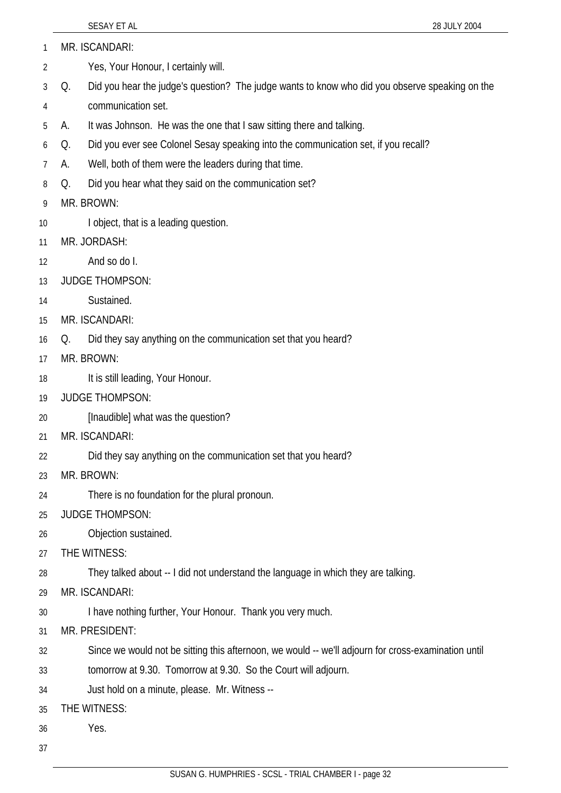- MR. ISCANDARI: 1
- Yes, Your Honour, I certainly will. 2
- 3 4 Q. Did you hear the judge's question? The judge wants to know who did you observe speaking on the communication set.
- 5 A. It was Johnson. He was the one that I saw sitting there and talking.
- 6 Q. Did you ever see Colonel Sesay speaking into the communication set, if you recall?
- 7 A. Well, both of them were the leaders during that time.
- 8 Q. Did you hear what they said on the communication set?
- 9 MR. BROWN:
- 10 I object, that is a leading question.
- 11 MR. JORDASH:
- 12 And so do I.
- 13 JUDGE THOMPSON:
- 14 Sustained.
- 15 MR. ISCANDARI:
- 16 Q. Did they say anything on the communication set that you heard?
- 17 MR. BROWN:
- 18 It is still leading, Your Honour.
- 19 JUDGE THOMPSON:
- 20 [Inaudible] what was the question?
- 21 MR. ISCANDARI:
- 22 Did they say anything on the communication set that you heard?
- 23 MR. BROWN:
- 24 There is no foundation for the plural pronoun.
- 25 JUDGE THOMPSON:
- 26 Objection sustained.
- 27 THE WITNESS:

28 They talked about -- I did not understand the language in which they are talking.

- 29 MR. ISCANDARI:
- 30 I have nothing further, Your Honour. Thank you very much.
- 31 MR. PRESIDENT:

32 Since we would not be sitting this afternoon, we would -- we'll adjourn for cross-examination until

- 33 tomorrow at 9.30. Tomorrow at 9.30. So the Court will adjourn.
- 34 Just hold on a minute, please. Mr. Witness --
- 35 THE WITNESS:
- 36 Yes.
- 37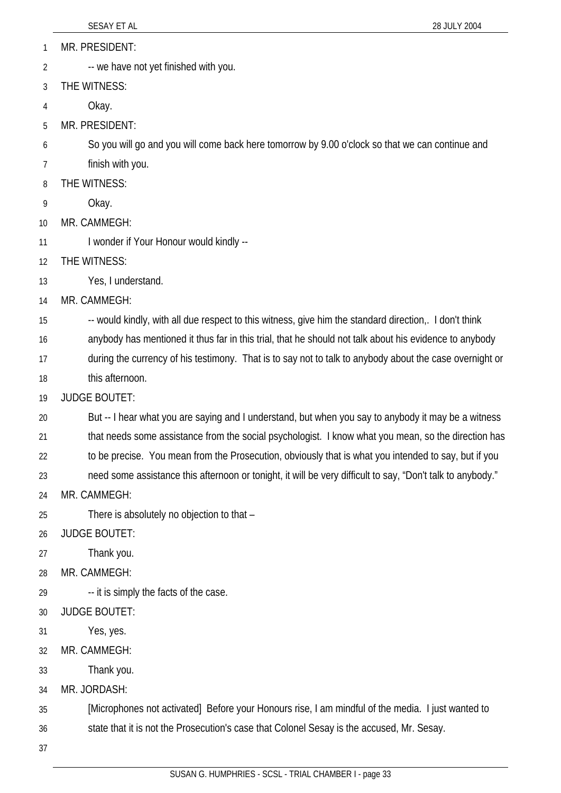- MR. PRESIDENT: 1
- -- we have not yet finished with you. 2
- 3 THE WITNESS:
- 4 Okay.
- 5 MR. PRESIDENT:
- 6 So you will go and you will come back here tomorrow by 9.00 o'clock so that we can continue and
- 7 finish with you.
- 8 THE WITNESS:
- 9 Okay.
- 10 MR. CAMMEGH:
- 11 I wonder if Your Honour would kindly --
- 12 THE WITNESS:
- 13 Yes, I understand.
- 14 MR. CAMMEGH:
- 15 -- would kindly, with all due respect to this witness, give him the standard direction,. I don't think
- 16 anybody has mentioned it thus far in this trial, that he should not talk about his evidence to anybody
- 17 during the currency of his testimony. That is to say not to talk to anybody about the case overnight or
- 18 this afternoon.
- 19 JUDGE BOUTET:
- 20 21 22 But -- I hear what you are saying and I understand, but when you say to anybody it may be a witness that needs some assistance from the social psychologist. I know what you mean, so the direction has to be precise. You mean from the Prosecution, obviously that is what you intended to say, but if you
- 23 need some assistance this afternoon or tonight, it will be very difficult to say, "Don't talk to anybody."
- 24 MR. CAMMEGH:
- 25 There is absolutely no objection to that –
- 26 JUDGE BOUTET:
- 27 Thank you.
- 28 MR. CAMMEGH:
- 29 -- it is simply the facts of the case.
- 30 JUDGE BOUTET:
- 31 Yes, yes.
- 32 MR. CAMMEGH:
- 33 Thank you.
- 34 MR. JORDASH:
- 35 [Microphones not activated] Before your Honours rise, I am mindful of the media. I just wanted to
- 36 state that it is not the Prosecution's case that Colonel Sesay is the accused, Mr. Sesay.
- 37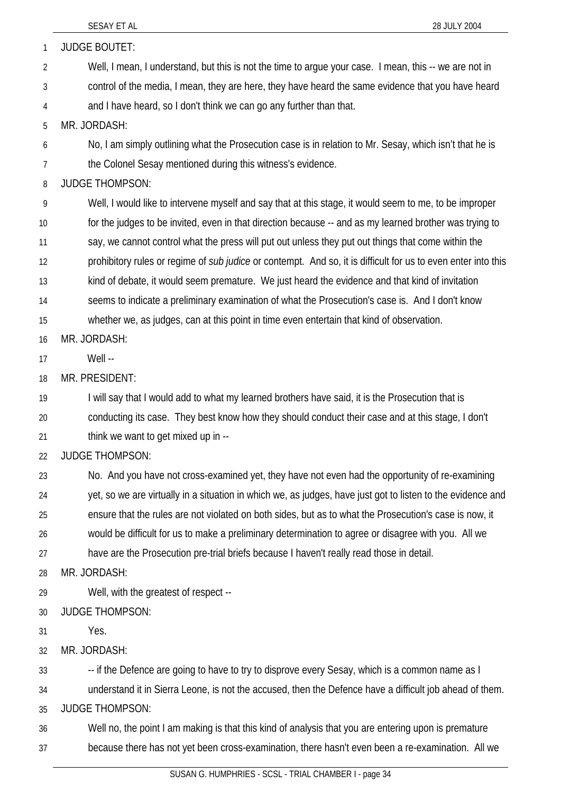| 1              | <b>JUDGE BOUTET:</b>                                                                                                 |
|----------------|----------------------------------------------------------------------------------------------------------------------|
| $\overline{2}$ | Well, I mean, I understand, but this is not the time to argue your case. I mean, this -- we are not in               |
| 3              | control of the media, I mean, they are here, they have heard the same evidence that you have heard                   |
| 4              | and I have heard, so I don't think we can go any further than that.                                                  |
| 5              | MR. JORDASH:                                                                                                         |
| 6              | No, I am simply outlining what the Prosecution case is in relation to Mr. Sesay, which isn't that he is              |
| 7              | the Colonel Sesay mentioned during this witness's evidence.                                                          |
| 8              | <b>JUDGE THOMPSON:</b>                                                                                               |
| 9              | Well, I would like to intervene myself and say that at this stage, it would seem to me, to be improper               |
| 10             | for the judges to be invited, even in that direction because -- and as my learned brother was trying to              |
| 11             | say, we cannot control what the press will put out unless they put out things that come within the                   |
| 12             | prohibitory rules or regime of <i>sub judice</i> or contempt. And so, it is difficult for us to even enter into this |
| 13             | kind of debate, it would seem premature. We just heard the evidence and that kind of invitation                      |
| 14             | seems to indicate a preliminary examination of what the Prosecution's case is. And I don't know                      |
| 15             | whether we, as judges, can at this point in time even entertain that kind of observation.                            |
| 16             | MR. JORDASH:                                                                                                         |
| 17             | Well --                                                                                                              |
| 18             | MR. PRESIDENT:                                                                                                       |
| 19             | I will say that I would add to what my learned brothers have said, it is the Prosecution that is                     |
| 20             | conducting its case. They best know how they should conduct their case and at this stage, I don't                    |
| 21             | think we want to get mixed up in --                                                                                  |
| 22             | <b>JUDGE THOMPSON:</b>                                                                                               |
| 23             | No. And you have not cross-examined yet, they have not even had the opportunity of re-examining                      |
| 24             | yet, so we are virtually in a situation in which we, as judges, have just got to listen to the evidence and          |
| 25             | ensure that the rules are not violated on both sides, but as to what the Prosecution's case is now, it               |
| 26             | would be difficult for us to make a preliminary determination to agree or disagree with you. All we                  |
| 27             | have are the Prosecution pre-trial briefs because I haven't really read those in detail.                             |
| 28             | MR. JORDASH:                                                                                                         |
| 29             | Well, with the greatest of respect --                                                                                |
| 30             | <b>JUDGE THOMPSON:</b>                                                                                               |
| 31             | Yes.                                                                                                                 |
| 32             | MR. JORDASH:                                                                                                         |
| 33             | -- if the Defence are going to have to try to disprove every Sesay, which is a common name as I                      |
| 34             | understand it in Sierra Leone, is not the accused, then the Defence have a difficult job ahead of them.              |
| 35             | <b>JUDGE THOMPSON:</b>                                                                                               |
| 36             | Well no, the point I am making is that this kind of analysis that you are entering upon is premature                 |
| 37             | because there has not yet been cross-examination, there hasn't even been a re-examination. All we                    |
|                |                                                                                                                      |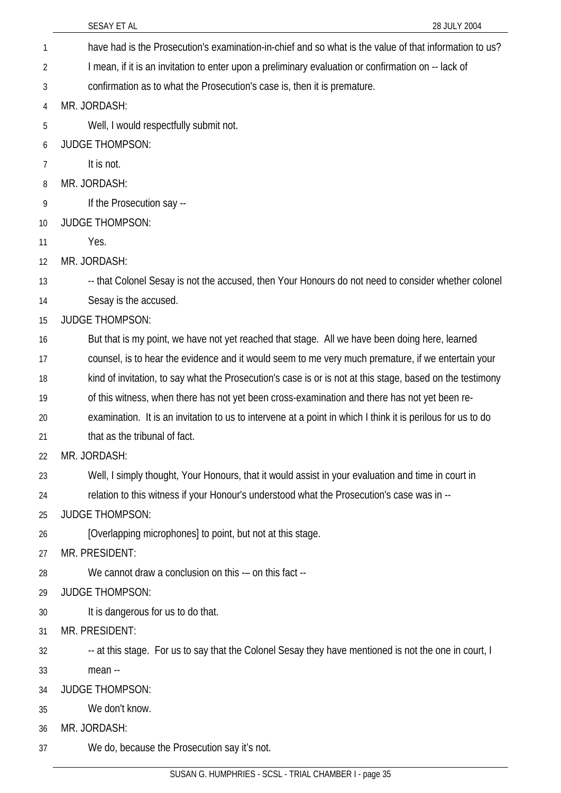|    | SESAY ET AL<br>28 JULY 2004                                                                                 |
|----|-------------------------------------------------------------------------------------------------------------|
| 1  | have had is the Prosecution's examination-in-chief and so what is the value of that information to us?      |
| 2  | I mean, if it is an invitation to enter upon a preliminary evaluation or confirmation on -- lack of         |
| 3  | confirmation as to what the Prosecution's case is, then it is premature.                                    |
| 4  | MR. JORDASH:                                                                                                |
| 5  | Well, I would respectfully submit not.                                                                      |
| 6  | <b>JUDGE THOMPSON:</b>                                                                                      |
| 7  | It is not.                                                                                                  |
| 8  | MR. JORDASH:                                                                                                |
| 9  | If the Prosecution say --                                                                                   |
| 10 | <b>JUDGE THOMPSON:</b>                                                                                      |
| 11 | Yes.                                                                                                        |
| 12 | MR. JORDASH:                                                                                                |
| 13 | -- that Colonel Sesay is not the accused, then Your Honours do not need to consider whether colonel         |
| 14 | Sesay is the accused.                                                                                       |
| 15 | <b>JUDGE THOMPSON:</b>                                                                                      |
| 16 | But that is my point, we have not yet reached that stage. All we have been doing here, learned              |
| 17 | counsel, is to hear the evidence and it would seem to me very much premature, if we entertain your          |
| 18 | kind of invitation, to say what the Prosecution's case is or is not at this stage, based on the testimony   |
| 19 | of this witness, when there has not yet been cross-examination and there has not yet been re-               |
| 20 | examination. It is an invitation to us to intervene at a point in which I think it is perilous for us to do |
| 21 | that as the tribunal of fact.                                                                               |
| 22 | MR. JORDASH:                                                                                                |
| 23 | Well, I simply thought, Your Honours, that it would assist in your evaluation and time in court in          |
| 24 | relation to this witness if your Honour's understood what the Prosecution's case was in --                  |
| 25 | <b>JUDGE THOMPSON:</b>                                                                                      |
| 26 | [Overlapping microphones] to point, but not at this stage.                                                  |
| 27 | MR. PRESIDENT:                                                                                              |
| 28 | We cannot draw a conclusion on this -- on this fact --                                                      |
| 29 | <b>JUDGE THOMPSON:</b>                                                                                      |
| 30 | It is dangerous for us to do that.                                                                          |
| 31 | MR. PRESIDENT:                                                                                              |
| 32 | -- at this stage. For us to say that the Colonel Sesay they have mentioned is not the one in court, I       |
| 33 | mean --                                                                                                     |
| 34 | <b>JUDGE THOMPSON:</b>                                                                                      |
| 35 | We don't know.                                                                                              |
| 36 | MR. JORDASH:                                                                                                |
| 37 | We do, because the Prosecution say it's not.                                                                |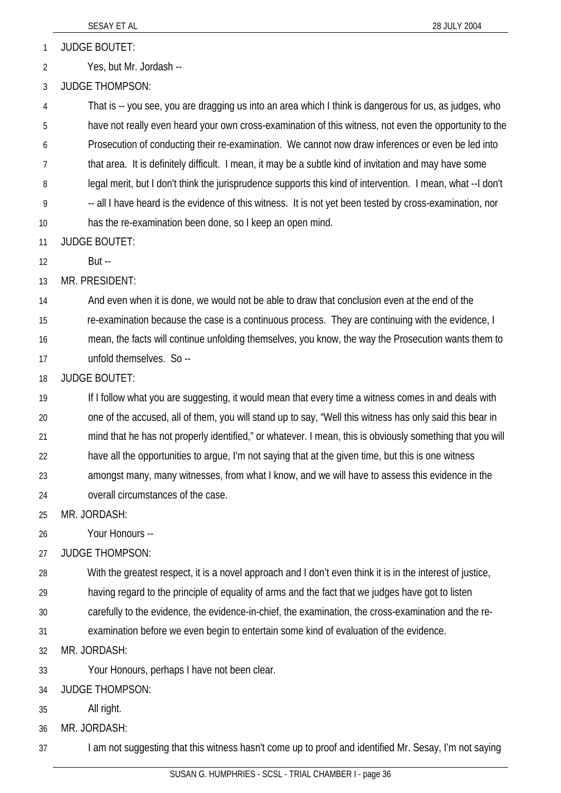1 JUDGE BOUTET:

2 Yes, but Mr. Jordash --

3 JUDGE THOMPSON:

4 5 6 7 8 9 10 That is -- you see, you are dragging us into an area which I think is dangerous for us, as judges, who have not really even heard your own cross-examination of this witness, not even the opportunity to the Prosecution of conducting their re-examination. We cannot now draw inferences or even be led into that area. It is definitely difficult. I mean, it may be a subtle kind of invitation and may have some legal merit, but I don't think the jurisprudence supports this kind of intervention. I mean, what --I don't -- all I have heard is the evidence of this witness. It is not yet been tested by cross-examination, nor has the re-examination been done, so I keep an open mind.

11 JUDGE BOUTET:

12 But --

13 MR. PRESIDENT:

14 And even when it is done, we would not be able to draw that conclusion even at the end of the

15 re-examination because the case is a continuous process. They are continuing with the evidence, I

16 mean, the facts will continue unfolding themselves, you know, the way the Prosecution wants them to

17 unfold themselves. So --

18 JUDGE BOUTET:

19 20 21 22 23 24 If I follow what you are suggesting, it would mean that every time a witness comes in and deals with one of the accused, all of them, you will stand up to say, "Well this witness has only said this bear in mind that he has not properly identified," or whatever. I mean, this is obviously something that you will have all the opportunities to argue, I'm not saying that at the given time, but this is one witness amongst many, many witnesses, from what I know, and we will have to assess this evidence in the overall circumstances of the case.

25 MR. JORDASH:

26 Your Honours --

27 JUDGE THOMPSON:

28 With the greatest respect, it is a novel approach and I don't even think it is in the interest of justice,

29 having regard to the principle of equality of arms and the fact that we judges have got to listen

30 carefully to the evidence, the evidence-in-chief, the examination, the cross-examination and the re-

31 examination before we even begin to entertain some kind of evaluation of the evidence.

32 MR. JORDASH:

33 Your Honours, perhaps I have not been clear.

34 JUDGE THOMPSON:

35 All right.

36 MR. JORDASH:

37 I am not suggesting that this witness hasn't come up to proof and identified Mr. Sesay, I'm not saying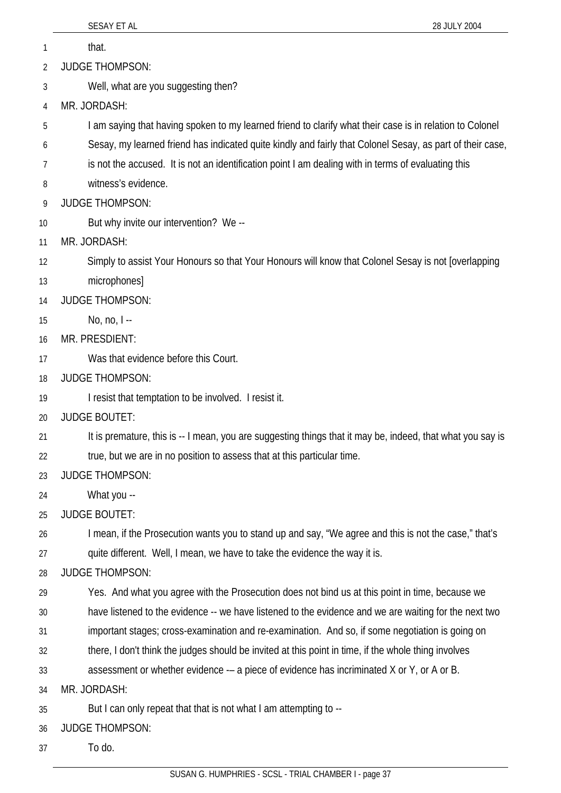|    | SESAY ET AL<br>28 JULY 2004                                                                                |
|----|------------------------------------------------------------------------------------------------------------|
| 1  | that.                                                                                                      |
| 2  | <b>JUDGE THOMPSON:</b>                                                                                     |
| 3  | Well, what are you suggesting then?                                                                        |
| 4  | MR. JORDASH:                                                                                               |
| 5  | I am saying that having spoken to my learned friend to clarify what their case is in relation to Colonel   |
| 6  | Sesay, my learned friend has indicated quite kindly and fairly that Colonel Sesay, as part of their case,  |
| 7  | is not the accused. It is not an identification point I am dealing with in terms of evaluating this        |
| 8  | witness's evidence.                                                                                        |
| 9  | <b>JUDGE THOMPSON:</b>                                                                                     |
| 10 | But why invite our intervention? We --                                                                     |
| 11 | MR. JORDASH:                                                                                               |
| 12 | Simply to assist Your Honours so that Your Honours will know that Colonel Sesay is not [overlapping        |
| 13 | microphones]                                                                                               |
| 14 | <b>JUDGE THOMPSON:</b>                                                                                     |
| 15 | No, no, $I -$                                                                                              |
| 16 | MR. PRESDIENT:                                                                                             |
| 17 | Was that evidence before this Court.                                                                       |
| 18 | <b>JUDGE THOMPSON:</b>                                                                                     |
| 19 | I resist that temptation to be involved. I resist it.                                                      |
| 20 | <b>JUDGE BOUTET:</b>                                                                                       |
| 21 | It is premature, this is -- I mean, you are suggesting things that it may be, indeed, that what you say is |
| 22 | true, but we are in no position to assess that at this particular time.                                    |
| 23 | <b>JUDGE THOMPSON:</b>                                                                                     |
| 24 | What you --                                                                                                |
| 25 | <b>JUDGE BOUTET:</b>                                                                                       |
| 26 | I mean, if the Prosecution wants you to stand up and say, "We agree and this is not the case," that's      |
| 27 | quite different. Well, I mean, we have to take the evidence the way it is.                                 |
| 28 | <b>JUDGE THOMPSON:</b>                                                                                     |
| 29 | Yes. And what you agree with the Prosecution does not bind us at this point in time, because we            |
| 30 | have listened to the evidence -- we have listened to the evidence and we are waiting for the next two      |
| 31 | important stages; cross-examination and re-examination. And so, if some negotiation is going on            |
| 32 | there, I don't think the judges should be invited at this point in time, if the whole thing involves       |
| 33 | assessment or whether evidence -- a piece of evidence has incriminated X or Y, or A or B.                  |
| 34 | MR. JORDASH:                                                                                               |
| 35 | But I can only repeat that that is not what I am attempting to --                                          |
| 36 | <b>JUDGE THOMPSON:</b>                                                                                     |
| 37 | To do.                                                                                                     |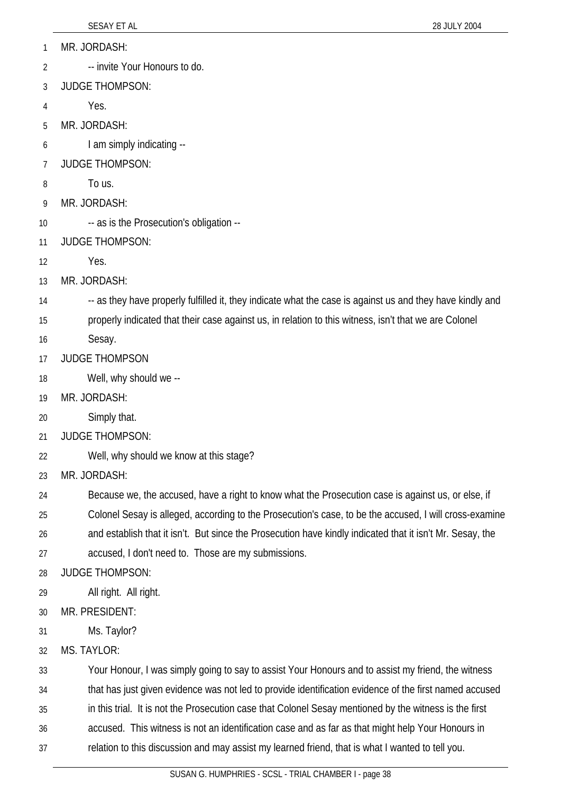- MR. JORDASH: 1
- -- invite Your Honours to do. 2
- 3 JUDGE THOMPSON:
- 4 Yes.
- 5 MR. JORDASH:
- 6 I am simply indicating --
- 7 JUDGE THOMPSON:
- 8 To us.
- 9 MR. JORDASH:
- 10 -- as is the Prosecution's obligation --
- 11 JUDGE THOMPSON:
- 12 Yes.
- 13 MR. JORDASH:
- 14 -- as they have properly fulfilled it, they indicate what the case is against us and they have kindly and
- 15 properly indicated that their case against us, in relation to this witness, isn't that we are Colonel
- 16 Sesay.
- 17 JUDGE THOMPSON
- 18 Well, why should we --
- 19 MR. JORDASH:
- 20 Simply that.
- 21 JUDGE THOMPSON:
- 22 Well, why should we know at this stage?
- 23 MR. JORDASH:
- 24 Because we, the accused, have a right to know what the Prosecution case is against us, or else, if
- 25 Colonel Sesay is alleged, according to the Prosecution's case, to be the accused, I will cross-examine
- 26 and establish that it isn't. But since the Prosecution have kindly indicated that it isn't Mr. Sesay, the
- 27 accused, I don't need to. Those are my submissions.
- 28 JUDGE THOMPSON:
- 29 All right. All right.
- 30 MR. PRESIDENT:
- 31 Ms. Taylor?
- 32 MS. TAYLOR:

33 Your Honour, I was simply going to say to assist Your Honours and to assist my friend, the witness

- 34 that has just given evidence was not led to provide identification evidence of the first named accused
- 35 in this trial. It is not the Prosecution case that Colonel Sesay mentioned by the witness is the first
- 36 accused. This witness is not an identification case and as far as that might help Your Honours in
- 37 relation to this discussion and may assist my learned friend, that is what I wanted to tell you.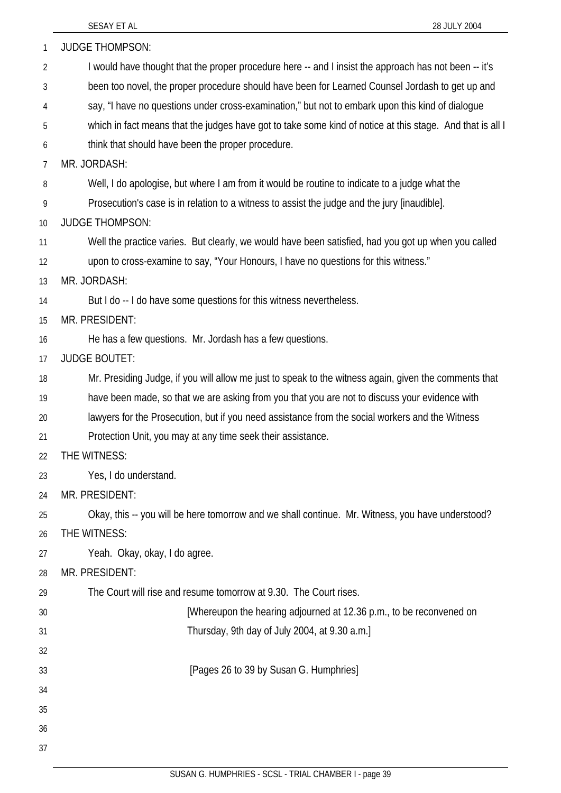| 1              | <b>JUDGE THOMPSON:</b>                                                                                    |
|----------------|-----------------------------------------------------------------------------------------------------------|
| $\overline{2}$ | I would have thought that the proper procedure here -- and I insist the approach has not been -- it's     |
| 3              | been too novel, the proper procedure should have been for Learned Counsel Jordash to get up and           |
| 4              | say, "I have no questions under cross-examination," but not to embark upon this kind of dialogue          |
| 5              | which in fact means that the judges have got to take some kind of notice at this stage. And that is all I |
| 6              | think that should have been the proper procedure.                                                         |
| 7              | MR. JORDASH:                                                                                              |
| 8              | Well, I do apologise, but where I am from it would be routine to indicate to a judge what the             |
| 9              | Prosecution's case is in relation to a witness to assist the judge and the jury [inaudible].              |
| 10             | <b>JUDGE THOMPSON:</b>                                                                                    |
| 11             | Well the practice varies. But clearly, we would have been satisfied, had you got up when you called       |
| 12             | upon to cross-examine to say, "Your Honours, I have no questions for this witness."                       |
| 13             | MR. JORDASH:                                                                                              |
| 14             | But I do -- I do have some questions for this witness nevertheless.                                       |
| 15             | MR. PRESIDENT:                                                                                            |
| 16             | He has a few questions. Mr. Jordash has a few questions.                                                  |
| 17             | <b>JUDGE BOUTET:</b>                                                                                      |
| 18             | Mr. Presiding Judge, if you will allow me just to speak to the witness again, given the comments that     |
| 19             | have been made, so that we are asking from you that you are not to discuss your evidence with             |
| 20             | lawyers for the Prosecution, but if you need assistance from the social workers and the Witness           |
| 21             | Protection Unit, you may at any time seek their assistance.                                               |
| 22             | THE WITNESS:                                                                                              |
| 23             | Yes, I do understand.                                                                                     |
| 24             | MR. PRESIDENT:                                                                                            |
| 25             | Okay, this -- you will be here tomorrow and we shall continue. Mr. Witness, you have understood?          |
| 26             | THE WITNESS:                                                                                              |
| 27             | Yeah. Okay, okay, I do agree.                                                                             |
| 28             | MR. PRESIDENT:                                                                                            |
| 29             | The Court will rise and resume tomorrow at 9.30. The Court rises.                                         |
| 30             | [Whereupon the hearing adjourned at 12.36 p.m., to be reconvened on                                       |
| 31             | Thursday, 9th day of July 2004, at 9.30 a.m.]                                                             |
| 32             |                                                                                                           |
| 33             | [Pages 26 to 39 by Susan G. Humphries]                                                                    |
| 34             |                                                                                                           |
| 35             |                                                                                                           |
| 36             |                                                                                                           |
| 37             |                                                                                                           |